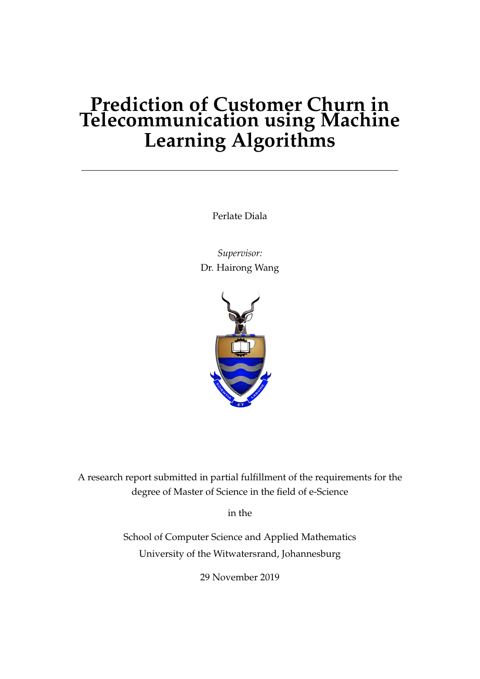# **Prediction of Customer Churn in Telecommunication using Machine Learning Algorithms**

Perlate Diala

*Supervisor:* Dr. Hairong Wang



A research report submitted in partial fulfillment of the requirements for the degree of Master of Science in the field of e-Science

in the

School of Computer Science and Applied Mathematics University of the Witwatersrand, Johannesburg

29 November 2019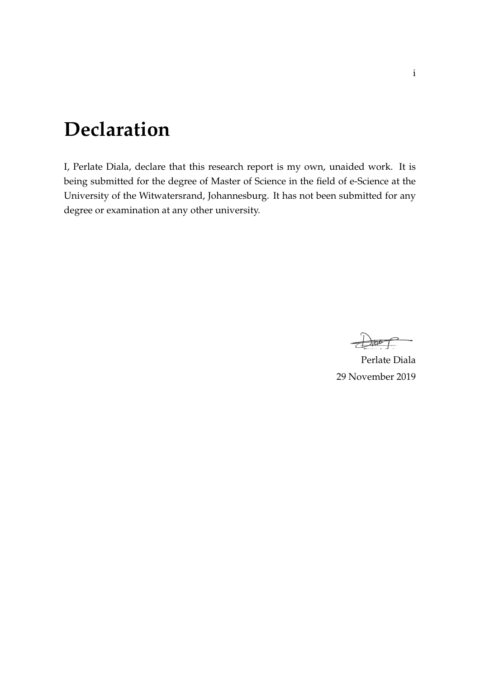# <span id="page-1-0"></span>**Declaration**

I, Perlate Diala, declare that this research report is my own, unaided work. It is being submitted for the degree of Master of Science in the field of e-Science at the University of the Witwatersrand, Johannesburg. It has not been submitted for any degree or examination at any other university.

Perlate Diala 29 November 2019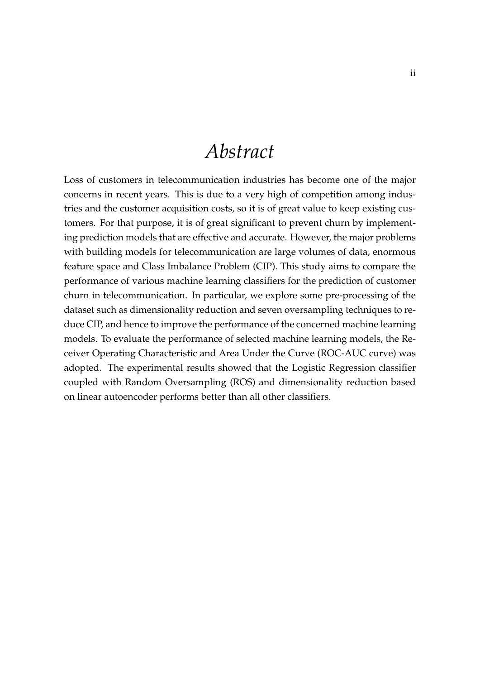# *Abstract*

<span id="page-2-0"></span>Loss of customers in telecommunication industries has become one of the major concerns in recent years. This is due to a very high of competition among industries and the customer acquisition costs, so it is of great value to keep existing customers. For that purpose, it is of great significant to prevent churn by implementing prediction models that are effective and accurate. However, the major problems with building models for telecommunication are large volumes of data, enormous feature space and Class Imbalance Problem (CIP). This study aims to compare the performance of various machine learning classifiers for the prediction of customer churn in telecommunication. In particular, we explore some pre-processing of the dataset such as dimensionality reduction and seven oversampling techniques to reduce CIP, and hence to improve the performance of the concerned machine learning models. To evaluate the performance of selected machine learning models, the Receiver Operating Characteristic and Area Under the Curve (ROC-AUC curve) was adopted. The experimental results showed that the Logistic Regression classifier coupled with Random Oversampling (ROS) and dimensionality reduction based on linear autoencoder performs better than all other classifiers.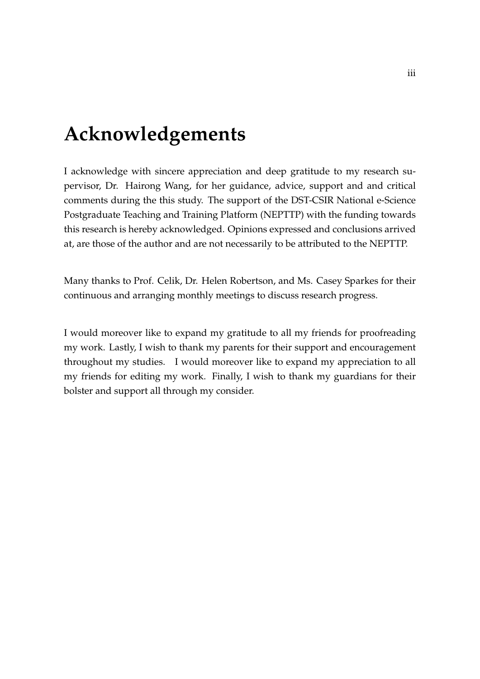# <span id="page-3-0"></span>**Acknowledgements**

I acknowledge with sincere appreciation and deep gratitude to my research supervisor, Dr. Hairong Wang, for her guidance, advice, support and and critical comments during the this study. The support of the DST-CSIR National e-Science Postgraduate Teaching and Training Platform (NEPTTP) with the funding towards this research is hereby acknowledged. Opinions expressed and conclusions arrived at, are those of the author and are not necessarily to be attributed to the NEPTTP.

Many thanks to Prof. Celik, Dr. Helen Robertson, and Ms. Casey Sparkes for their continuous and arranging monthly meetings to discuss research progress.

I would moreover like to expand my gratitude to all my friends for proofreading my work. Lastly, I wish to thank my parents for their support and encouragement throughout my studies. I would moreover like to expand my appreciation to all my friends for editing my work. Finally, I wish to thank my guardians for their bolster and support all through my consider.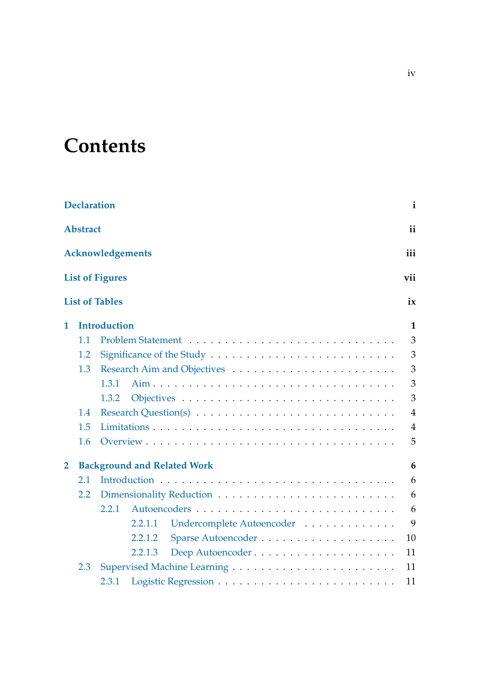# **Contents**

|                | <b>Declaration</b> |                                                                                          | $\mathbf{i}$   |
|----------------|--------------------|------------------------------------------------------------------------------------------|----------------|
|                | <b>Abstract</b>    |                                                                                          | ii             |
|                |                    | <b>Acknowledgements</b>                                                                  | iii            |
|                |                    | <b>List of Figures</b>                                                                   | vii            |
|                |                    | <b>List of Tables</b>                                                                    | ix             |
| 1              |                    | <b>Introduction</b>                                                                      | $\mathbf{1}$   |
|                | 1.1                |                                                                                          | $\overline{3}$ |
|                | 1.2                |                                                                                          | 3              |
|                | 1.3                |                                                                                          | 3              |
|                |                    | 1.3.1                                                                                    | 3              |
|                |                    | 1.3.2                                                                                    | 3              |
|                | 1.4                | Research Question(s) $\dots \dots \dots \dots \dots \dots \dots \dots \dots \dots \dots$ | $\overline{4}$ |
|                | 1.5                |                                                                                          | $\overline{4}$ |
|                | 1.6                |                                                                                          | 5              |
| $\overline{2}$ |                    | <b>Background and Related Work</b>                                                       | 6              |
|                | 2.1                |                                                                                          | 6              |
|                | 2.2                |                                                                                          | 6              |
|                |                    | 2.2.1                                                                                    | 6              |
|                |                    | Undercomplete Autoencoder<br>2.2.1.1                                                     | 9              |
|                |                    | 2.2.1.2                                                                                  | 10             |
|                |                    | 2.2.1.3                                                                                  | 11             |
|                | 2.3                |                                                                                          | 11             |
|                |                    | 2.3.1                                                                                    | 11             |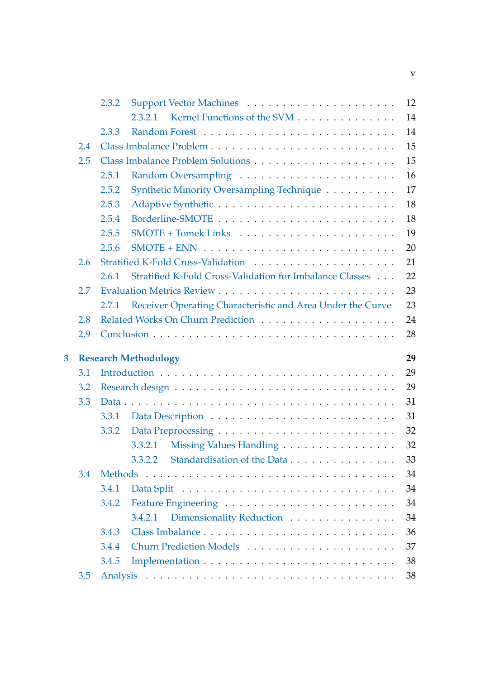|   |     | 2.3.2          |                                                            | 12       |
|---|-----|----------------|------------------------------------------------------------|----------|
|   |     |                | Kernel Functions of the SVM<br>2.3.2.1                     | 14       |
|   |     | 2.3.3          |                                                            | 14       |
|   | 2.4 |                |                                                            | 15       |
|   | 2.5 |                |                                                            | 15       |
|   |     | 2.5.1          |                                                            | 16       |
|   |     | 2.5.2          | Synthetic Minority Oversampling Technique                  | 17       |
|   |     | 2.5.3          |                                                            | 18       |
|   |     | 2.5.4          |                                                            | 18       |
|   |     | 2.5.5          |                                                            | 19       |
|   |     | 2.5.6          |                                                            | 20       |
|   | 2.6 |                | Stratified K-Fold Cross-Validation                         | 21       |
|   |     | 2.6.1          | Stratified K-Fold Cross-Validation for Imbalance Classes   | 22       |
|   | 2.7 |                |                                                            | 23       |
|   |     | 2.7.1          | Receiver Operating Characteristic and Area Under the Curve | 23       |
|   | 2.8 |                |                                                            | 24       |
|   | 2.9 |                |                                                            | 28       |
| 3 |     |                | <b>Research Methodology</b>                                | 29       |
|   | 3.1 |                |                                                            | 29       |
|   | 3.2 |                |                                                            | 29       |
|   | 3.3 |                |                                                            | 31       |
|   |     |                |                                                            |          |
|   |     | 3.3.1          |                                                            |          |
|   |     |                |                                                            | 31       |
|   |     | 3.3.2          | 3.3.2.1                                                    | 32       |
|   |     |                | Missing Values Handling                                    | 32       |
|   | 3.4 | <b>Methods</b> | 3.3.2.2 Standardisation of the Data                        | 33<br>34 |
|   |     | 3.4.1          |                                                            | 34       |
|   |     | 3.4.2          |                                                            | 34       |
|   |     |                | 3.4.2.1                                                    | 34       |
|   |     | 3.4.3          | Dimensionality Reduction                                   | 36       |
|   |     | 3.4.4          | Churn Prediction Models                                    | 37       |
|   |     | 3.4.5          |                                                            | 38       |
|   | 3.5 |                |                                                            | 38       |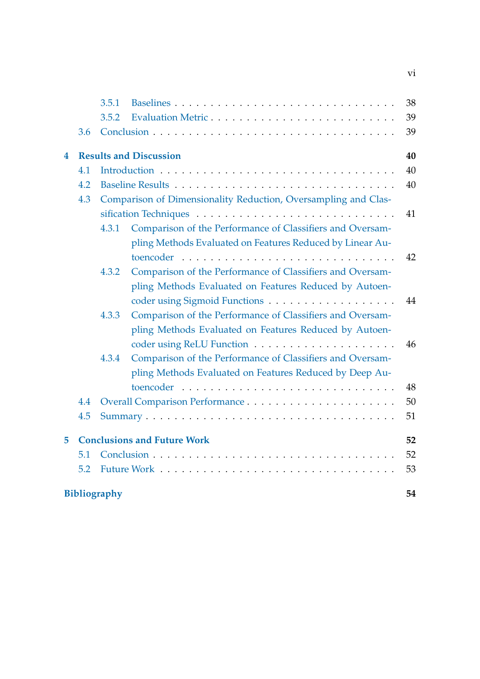|   |     | 3.5.1               |                                                                | 38 |
|---|-----|---------------------|----------------------------------------------------------------|----|
|   |     | 3.5.2               | Evaluation Metric                                              | 39 |
|   | 3.6 |                     |                                                                | 39 |
| 4 |     |                     | <b>Results and Discussion</b>                                  | 40 |
|   | 4.1 |                     |                                                                | 40 |
|   | 4.2 |                     |                                                                | 40 |
|   | 4.3 |                     | Comparison of Dimensionality Reduction, Oversampling and Clas- |    |
|   |     |                     |                                                                | 41 |
|   |     | 4.3.1               | Comparison of the Performance of Classifiers and Oversam-      |    |
|   |     |                     | pling Methods Evaluated on Features Reduced by Linear Au-      |    |
|   |     |                     |                                                                | 42 |
|   |     | 4.3.2               | Comparison of the Performance of Classifiers and Oversam-      |    |
|   |     |                     | pling Methods Evaluated on Features Reduced by Autoen-         |    |
|   |     |                     |                                                                | 44 |
|   |     | 4.3.3               | Comparison of the Performance of Classifiers and Oversam-      |    |
|   |     |                     | pling Methods Evaluated on Features Reduced by Autoen-         |    |
|   |     |                     |                                                                | 46 |
|   |     | 4.3.4               | Comparison of the Performance of Classifiers and Oversam-      |    |
|   |     |                     | pling Methods Evaluated on Features Reduced by Deep Au-        |    |
|   |     |                     |                                                                | 48 |
|   | 4.4 |                     |                                                                | 50 |
|   | 4.5 |                     |                                                                | 51 |
| 5 |     |                     | <b>Conclusions and Future Work</b>                             | 52 |
|   | 5.1 |                     |                                                                | 52 |
|   | 5.2 |                     |                                                                | 53 |
|   |     | <b>Bibliography</b> |                                                                | 54 |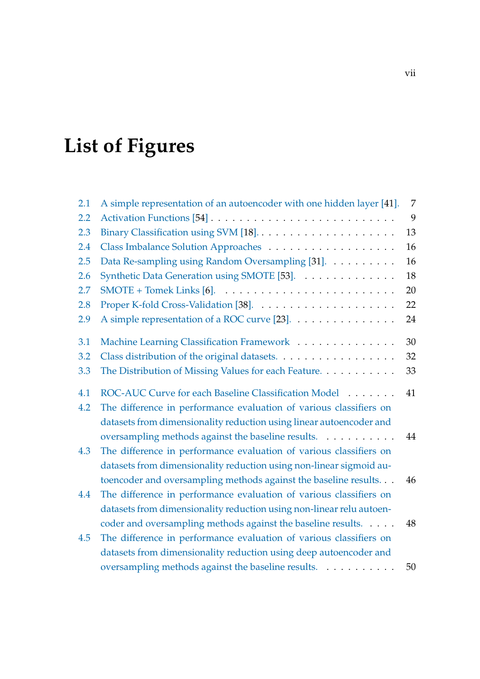# <span id="page-7-0"></span>**List of Figures**

| 2.1 | A simple representation of an autoencoder with one hidden layer [41]. | 7  |
|-----|-----------------------------------------------------------------------|----|
| 2.2 |                                                                       | 9  |
| 2.3 |                                                                       | 13 |
| 2.4 |                                                                       | 16 |
| 2.5 | Data Re-sampling using Random Oversampling [31].                      | 16 |
| 2.6 | Synthetic Data Generation using SMOTE [53].                           | 18 |
| 2.7 |                                                                       | 20 |
| 2.8 |                                                                       | 22 |
| 2.9 | A simple representation of a ROC curve [23].                          | 24 |
| 3.1 | Machine Learning Classification Framework                             | 30 |
| 3.2 | Class distribution of the original datasets.                          | 32 |
| 3.3 | The Distribution of Missing Values for each Feature.                  | 33 |
| 4.1 | ROC-AUC Curve for each Baseline Classification Model                  | 41 |
| 4.2 | The difference in performance evaluation of various classifiers on    |    |
|     | datasets from dimensionality reduction using linear autoencoder and   |    |
|     | oversampling methods against the baseline results.                    | 44 |
| 4.3 | The difference in performance evaluation of various classifiers on    |    |
|     | datasets from dimensionality reduction using non-linear sigmoid au-   |    |
|     | toencoder and oversampling methods against the baseline results.      | 46 |
| 4.4 | The difference in performance evaluation of various classifiers on    |    |
|     | datasets from dimensionality reduction using non-linear relu autoen-  |    |
|     | coder and oversampling methods against the baseline results.          | 48 |
| 4.5 | The difference in performance evaluation of various classifiers on    |    |
|     | datasets from dimensionality reduction using deep autoencoder and     |    |
|     | oversampling methods against the baseline results.                    | 50 |
|     |                                                                       |    |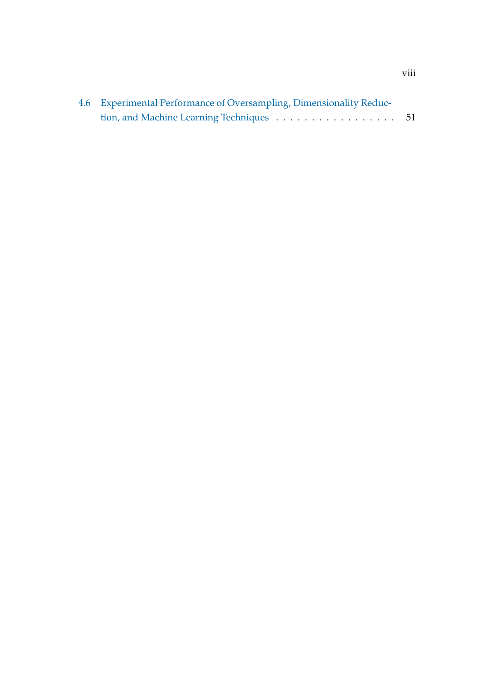| 4.6 Experimental Performance of Oversampling, Dimensionality Reduc- |  |  |  |  |
|---------------------------------------------------------------------|--|--|--|--|
| tion, and Machine Learning Techniques 51                            |  |  |  |  |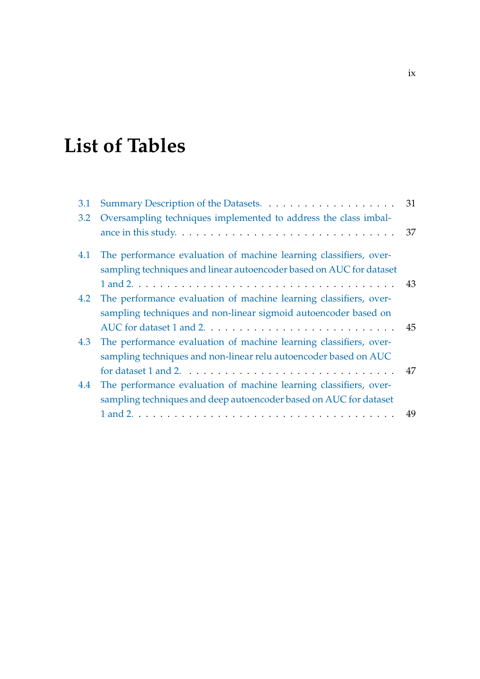# <span id="page-9-0"></span>**List of Tables**

| 3.1 |                                                                                                        | 31 |
|-----|--------------------------------------------------------------------------------------------------------|----|
| 3.2 | Oversampling techniques implemented to address the class imbal-                                        |    |
|     | ance in this study. $\dots \dots \dots \dots \dots \dots \dots \dots \dots \dots \dots \dots \dots$ 37 |    |
| 4.1 | The performance evaluation of machine learning classifiers, over-                                      |    |
|     | sampling techniques and linear autoencoder based on AUC for dataset                                    |    |
|     | $1$ and $2. \ldots \ldots \ldots \ldots \ldots \ldots \ldots \ldots \ldots \ldots \ldots \ldots$       |    |
| 4.2 | The performance evaluation of machine learning classifiers, over-                                      |    |
|     | sampling techniques and non-linear sigmoid autoencoder based on                                        |    |
|     |                                                                                                        | 45 |
| 4.3 | The performance evaluation of machine learning classifiers, over-                                      |    |
|     | sampling techniques and non-linear relu autoencoder based on AUC                                       |    |
|     | for dataset 1 and 2. $\dots \dots \dots \dots \dots \dots \dots \dots \dots \dots \dots \dots$         | 47 |
| 4.4 | The performance evaluation of machine learning classifiers, over-                                      |    |
|     | sampling techniques and deep autoencoder based on AUC for dataset                                      |    |
|     |                                                                                                        |    |
|     |                                                                                                        |    |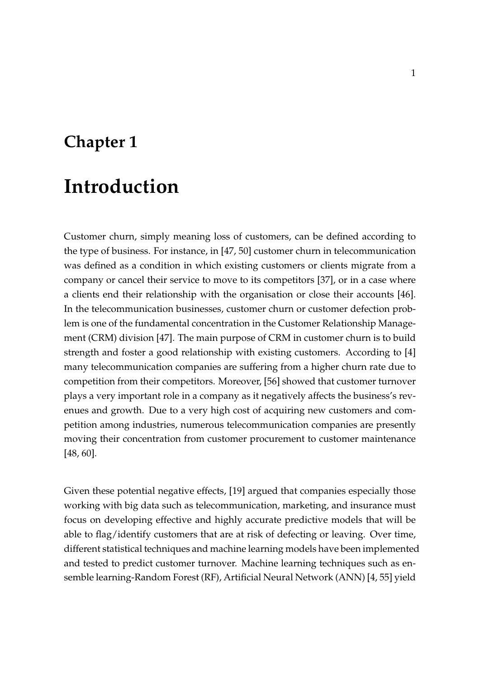# <span id="page-10-0"></span>**Chapter 1**

# **Introduction**

Customer churn, simply meaning loss of customers, can be defined according to the type of business. For instance, in [\[47,](#page-67-2) [50\]](#page-67-3) customer churn in telecommunication was defined as a condition in which existing customers or clients migrate from a company or cancel their service to move to its competitors [\[37\]](#page-66-2), or in a case where a clients end their relationship with the organisation or close their accounts [\[46\]](#page-67-4). In the telecommunication businesses, customer churn or customer defection problem is one of the fundamental concentration in the Customer Relationship Management (CRM) division [\[47\]](#page-67-2). The main purpose of CRM in customer churn is to build strength and foster a good relationship with existing customers. According to [\[4\]](#page-63-2) many telecommunication companies are suffering from a higher churn rate due to competition from their competitors. Moreover, [\[56\]](#page-68-0) showed that customer turnover plays a very important role in a company as it negatively affects the business's revenues and growth. Due to a very high cost of acquiring new customers and competition among industries, numerous telecommunication companies are presently moving their concentration from customer procurement to customer maintenance [\[48,](#page-67-5) [60\]](#page-68-1).

Given these potential negative effects, [\[19\]](#page-64-1) argued that companies especially those working with big data such as telecommunication, marketing, and insurance must focus on developing effective and highly accurate predictive models that will be able to flag/identify customers that are at risk of defecting or leaving. Over time, different statistical techniques and machine learning models have been implemented and tested to predict customer turnover. Machine learning techniques such as ensemble learning-Random Forest (RF), Artificial Neural Network (ANN) [\[4,](#page-63-2) [55\]](#page-68-2) yield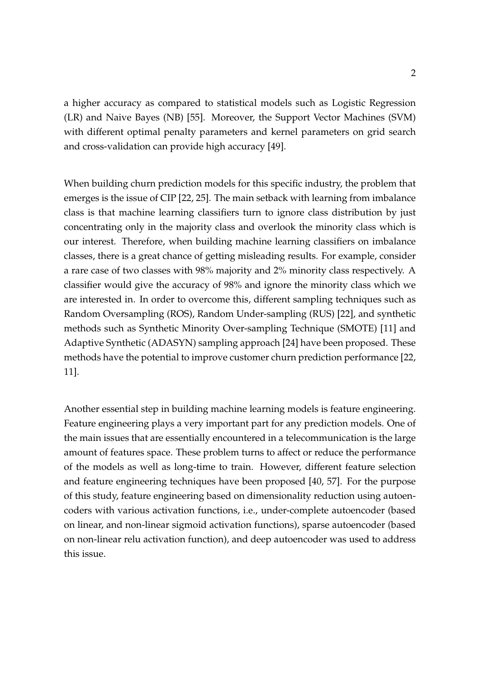a higher accuracy as compared to statistical models such as Logistic Regression (LR) and Naive Bayes (NB) [\[55\]](#page-68-2). Moreover, the Support Vector Machines (SVM) with different optimal penalty parameters and kernel parameters on grid search and cross-validation can provide high accuracy [\[49\]](#page-67-6).

When building churn prediction models for this specific industry, the problem that emerges is the issue of CIP [\[22,](#page-65-2) [25\]](#page-65-3). The main setback with learning from imbalance class is that machine learning classifiers turn to ignore class distribution by just concentrating only in the majority class and overlook the minority class which is our interest. Therefore, when building machine learning classifiers on imbalance classes, there is a great chance of getting misleading results. For example, consider a rare case of two classes with 98% majority and 2% minority class respectively. A classifier would give the accuracy of 98% and ignore the minority class which we are interested in. In order to overcome this, different sampling techniques such as Random Oversampling (ROS), Random Under-sampling (RUS) [\[22\]](#page-65-2), and synthetic methods such as Synthetic Minority Over-sampling Technique (SMOTE) [\[11\]](#page-64-2) and Adaptive Synthetic (ADASYN) sampling approach [\[24\]](#page-65-4) have been proposed. These methods have the potential to improve customer churn prediction performance [\[22,](#page-65-2) [11\]](#page-64-2).

Another essential step in building machine learning models is feature engineering. Feature engineering plays a very important part for any prediction models. One of the main issues that are essentially encountered in a telecommunication is the large amount of features space. These problem turns to affect or reduce the performance of the models as well as long-time to train. However, different feature selection and feature engineering techniques have been proposed [\[40,](#page-66-3) [57\]](#page-68-3). For the purpose of this study, feature engineering based on dimensionality reduction using autoencoders with various activation functions, i.e., under-complete autoencoder (based on linear, and non-linear sigmoid activation functions), sparse autoencoder (based on non-linear relu activation function), and deep autoencoder was used to address this issue.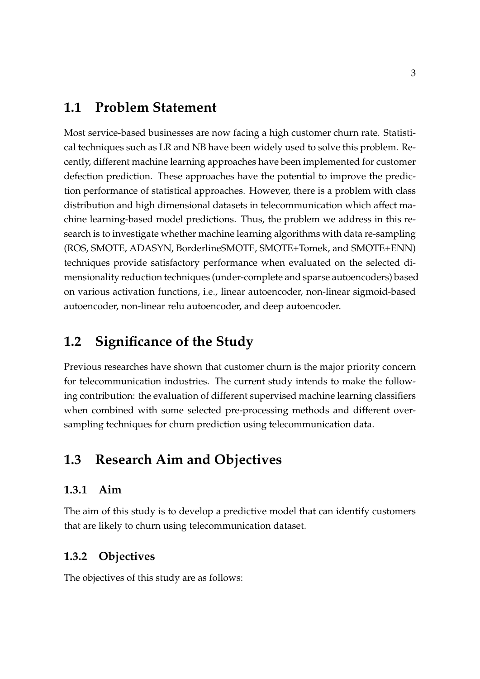## <span id="page-12-0"></span>**1.1 Problem Statement**

Most service-based businesses are now facing a high customer churn rate. Statistical techniques such as LR and NB have been widely used to solve this problem. Recently, different machine learning approaches have been implemented for customer defection prediction. These approaches have the potential to improve the prediction performance of statistical approaches. However, there is a problem with class distribution and high dimensional datasets in telecommunication which affect machine learning-based model predictions. Thus, the problem we address in this research is to investigate whether machine learning algorithms with data re-sampling (ROS, SMOTE, ADASYN, BorderlineSMOTE, SMOTE+Tomek, and SMOTE+ENN) techniques provide satisfactory performance when evaluated on the selected dimensionality reduction techniques (under-complete and sparse autoencoders) based on various activation functions, i.e., linear autoencoder, non-linear sigmoid-based autoencoder, non-linear relu autoencoder, and deep autoencoder.

## <span id="page-12-1"></span>**1.2 Significance of the Study**

Previous researches have shown that customer churn is the major priority concern for telecommunication industries. The current study intends to make the following contribution: the evaluation of different supervised machine learning classifiers when combined with some selected pre-processing methods and different oversampling techniques for churn prediction using telecommunication data.

## <span id="page-12-2"></span>**1.3 Research Aim and Objectives**

### <span id="page-12-3"></span>**1.3.1 Aim**

The aim of this study is to develop a predictive model that can identify customers that are likely to churn using telecommunication dataset.

### <span id="page-12-4"></span>**1.3.2 Objectives**

The objectives of this study are as follows: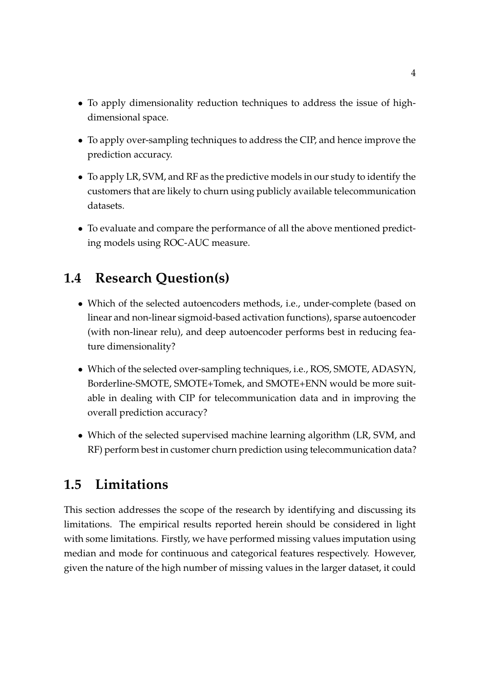- To apply dimensionality reduction techniques to address the issue of highdimensional space.
- To apply over-sampling techniques to address the CIP, and hence improve the prediction accuracy.
- To apply LR, SVM, and RF as the predictive models in our study to identify the customers that are likely to churn using publicly available telecommunication datasets.
- To evaluate and compare the performance of all the above mentioned predicting models using ROC-AUC measure.

# <span id="page-13-0"></span>**1.4 Research Question(s)**

- Which of the selected autoencoders methods, i.e., under-complete (based on linear and non-linear sigmoid-based activation functions), sparse autoencoder (with non-linear relu), and deep autoencoder performs best in reducing feature dimensionality?
- Which of the selected over-sampling techniques, i.e., ROS, SMOTE, ADASYN, Borderline-SMOTE, SMOTE+Tomek, and SMOTE+ENN would be more suitable in dealing with CIP for telecommunication data and in improving the overall prediction accuracy?
- Which of the selected supervised machine learning algorithm (LR, SVM, and RF) perform best in customer churn prediction using telecommunication data?

# <span id="page-13-1"></span>**1.5 Limitations**

This section addresses the scope of the research by identifying and discussing its limitations. The empirical results reported herein should be considered in light with some limitations. Firstly, we have performed missing values imputation using median and mode for continuous and categorical features respectively. However, given the nature of the high number of missing values in the larger dataset, it could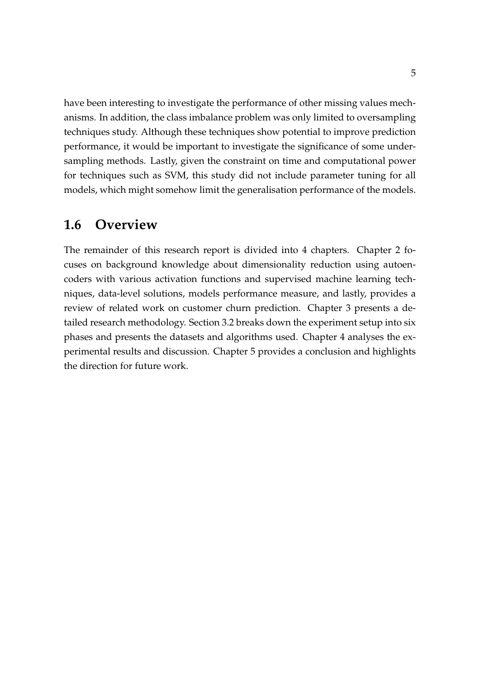have been interesting to investigate the performance of other missing values mechanisms. In addition, the class imbalance problem was only limited to oversampling techniques study. Although these techniques show potential to improve prediction performance, it would be important to investigate the significance of some undersampling methods. Lastly, given the constraint on time and computational power for techniques such as SVM, this study did not include parameter tuning for all models, which might somehow limit the generalisation performance of the models.

## <span id="page-14-0"></span>**1.6 Overview**

The remainder of this research report is divided into 4 chapters. Chapter 2 focuses on background knowledge about dimensionality reduction using autoencoders with various activation functions and supervised machine learning techniques, data-level solutions, models performance measure, and lastly, provides a review of related work on customer churn prediction. Chapter 3 presents a detailed research methodology. Section 3.2 breaks down the experiment setup into six phases and presents the datasets and algorithms used. Chapter 4 analyses the experimental results and discussion. Chapter 5 provides a conclusion and highlights the direction for future work.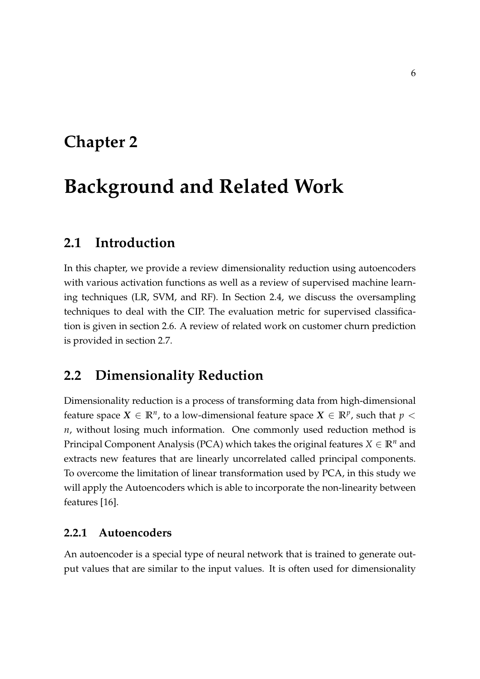# <span id="page-15-0"></span>**Chapter 2**

# **Background and Related Work**

## <span id="page-15-1"></span>**2.1 Introduction**

In this chapter, we provide a review dimensionality reduction using autoencoders with various activation functions as well as a review of supervised machine learning techniques (LR, SVM, and RF). In Section 2.4, we discuss the oversampling techniques to deal with the CIP. The evaluation metric for supervised classification is given in section 2.6. A review of related work on customer churn prediction is provided in section 2.7.

## <span id="page-15-2"></span>**2.2 Dimensionality Reduction**

Dimensionality reduction is a process of transforming data from high-dimensional feature space  $X \in \mathbb{R}^n$ , to a low-dimensional feature space  $X \in \mathbb{R}^p$ , such that  $p <$ *n*, without losing much information. One commonly used reduction method is Principal Component Analysis (PCA) which takes the original features  $X \in \mathbb{R}^n$  and extracts new features that are linearly uncorrelated called principal components. To overcome the limitation of linear transformation used by PCA, in this study we will apply the Autoencoders which is able to incorporate the non-linearity between features [\[16\]](#page-64-3).

#### <span id="page-15-3"></span>**2.2.1 Autoencoders**

An autoencoder is a special type of neural network that is trained to generate output values that are similar to the input values. It is often used for dimensionality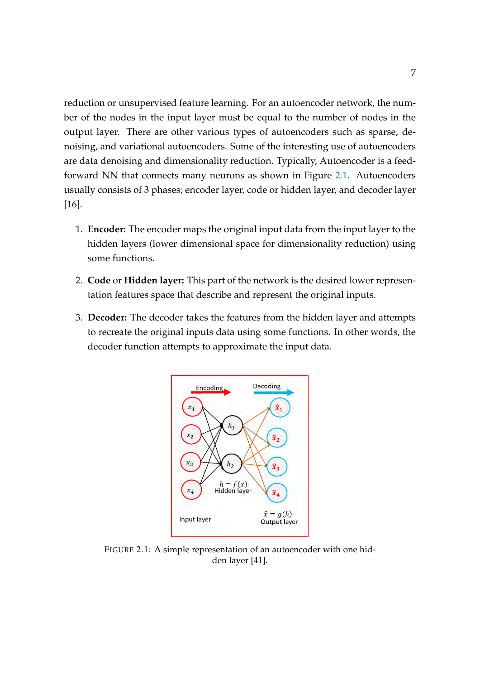reduction or unsupervised feature learning. For an autoencoder network, the number of the nodes in the input layer must be equal to the number of nodes in the output layer. There are other various types of autoencoders such as sparse, denoising, and variational autoencoders. Some of the interesting use of autoencoders are data denoising and dimensionality reduction. Typically, Autoencoder is a feedforward NN that connects many neurons as shown in Figure [2.1.](#page-16-0) Autoencoders usually consists of 3 phases; encoder layer, code or hidden layer, and decoder layer [\[16\]](#page-64-3).

- 1. **Encoder:** The encoder maps the original input data from the input layer to the hidden layers (lower dimensional space for dimensionality reduction) using some functions.
- 2. **Code** or **Hidden layer:** This part of the network is the desired lower representation features space that describe and represent the original inputs.
- <span id="page-16-0"></span>3. **Decoder:** The decoder takes the features from the hidden layer and attempts to recreate the original inputs data using some functions. In other words, the decoder function attempts to approximate the input data.



FIGURE 2.1: A simple representation of an autoencoder with one hidden layer [\[41\]](#page-66-0).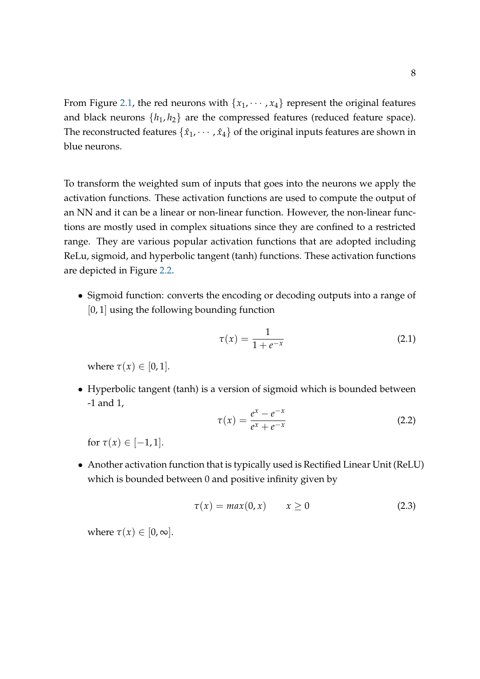From Figure [2.1,](#page-16-0) the red neurons with  $\{x_1, \dots, x_4\}$  represent the original features and black neurons  $\{h_1, h_2\}$  are the compressed features (reduced feature space). The reconstructed features  $\{\hat{x}_1, \dots, \hat{x}_4\}$  of the original inputs features are shown in blue neurons.

To transform the weighted sum of inputs that goes into the neurons we apply the activation functions. These activation functions are used to compute the output of an NN and it can be a linear or non-linear function. However, the non-linear functions are mostly used in complex situations since they are confined to a restricted range. They are various popular activation functions that are adopted including ReLu, sigmoid, and hyperbolic tangent (tanh) functions. These activation functions are depicted in Figure [2.2.](#page-18-1)

• Sigmoid function: converts the encoding or decoding outputs into a range of [0, 1] using the following bounding function

<span id="page-17-0"></span>
$$
\tau(x) = \frac{1}{1 + e^{-x}}
$$
 (2.1)

where  $\tau(x) \in [0, 1]$ .

• Hyperbolic tangent (tanh) is a version of sigmoid which is bounded between -1 and 1,

$$
\tau(x) = \frac{e^x - e^{-x}}{e^x + e^{-x}}
$$
 (2.2)

for  $\tau(x) \in [-1, 1]$ .

• Another activation function that is typically used is Rectified Linear Unit (ReLU) which is bounded between 0 and positive infinity given by

$$
\tau(x) = \max(0, x) \qquad x \ge 0 \tag{2.3}
$$

where  $\tau(x) \in [0, \infty]$ .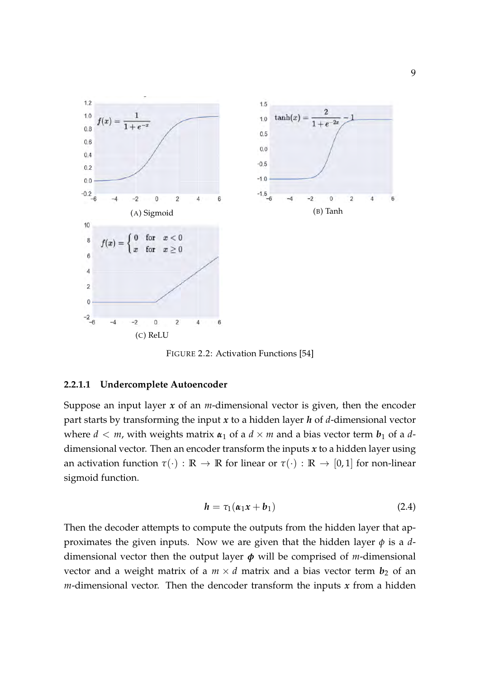<span id="page-18-1"></span>

FIGURE 2.2: Activation Functions [\[54\]](#page-67-0)

#### <span id="page-18-0"></span>**2.2.1.1 Undercomplete Autoencoder**

Suppose an input layer *x* of an *m*-dimensional vector is given, then the encoder part starts by transforming the input *x* to a hidden layer *h* of *d*-dimensional vector where  $d < m$ , with weights matrix  $\alpha_1$  of a  $d \times m$  and a bias vector term  $b_1$  of a  $d$ dimensional vector. Then an encoder transform the inputs *x* to a hidden layer using an activation function  $\tau(\cdot) : \mathbb{R} \to \mathbb{R}$  for linear or  $\tau(\cdot) : \mathbb{R} \to [0,1]$  for non-linear sigmoid function.

$$
h = \tau_1(\alpha_1 x + b_1) \tag{2.4}
$$

Then the decoder attempts to compute the outputs from the hidden layer that approximates the given inputs. Now we are given that the hidden layer *φ* is a *d*dimensional vector then the output layer *φ* will be comprised of *m*-dimensional vector and a weight matrix of a  $m \times d$  matrix and a bias vector term  $b_2$  of an  $m$ -dimensional vector. Then the dencoder transform the inputs  $x$  from a hidden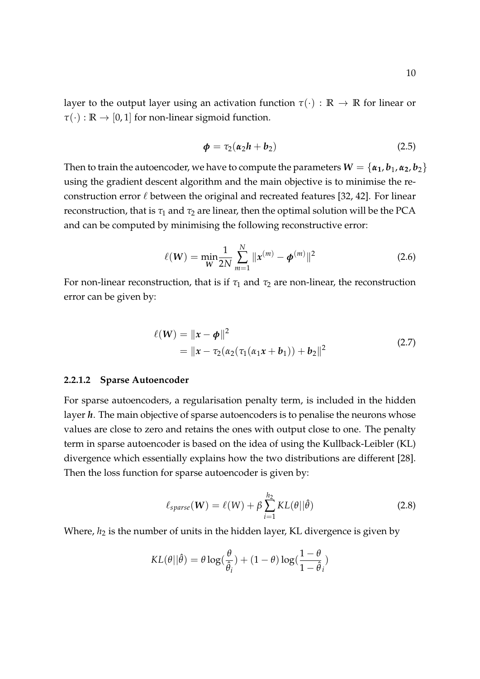layer to the output layer using an activation function  $\tau(\cdot) : \mathbb{R} \to \mathbb{R}$  for linear or  $\tau(\cdot): \mathbb{R} \to [0, 1]$  for non-linear sigmoid function.

$$
\phi = \tau_2(\alpha_2 h + b_2) \tag{2.5}
$$

Then to train the autoencoder, we have to compute the parameters  $W = \{\alpha_1, b_1, \alpha_2, b_2\}$ using the gradient descent algorithm and the main objective is to minimise the reconstruction error  $\ell$  between the original and recreated features [\[32,](#page-65-5) [42\]](#page-66-4). For linear reconstruction, that is  $\tau_1$  and  $\tau_2$  are linear, then the optimal solution will be the PCA and can be computed by minimising the following reconstructive error:

$$
\ell(W) = \min_{W} \frac{1}{2N} \sum_{m=1}^{N} ||x^{(m)} - \phi^{(m)}||^2
$$
 (2.6)

For non-linear reconstruction, that is if  $\tau_1$  and  $\tau_2$  are non-linear, the reconstruction error can be given by:

$$
\ell(\mathbf{W}) = \|\mathbf{x} - \boldsymbol{\phi}\|^2
$$
  
=  $\|\mathbf{x} - \tau_2(\alpha_2(\tau_1(\alpha_1\mathbf{x} + \mathbf{b}_1)) + \mathbf{b}_2\|^2$  (2.7)

#### <span id="page-19-0"></span>**2.2.1.2 Sparse Autoencoder**

For sparse autoencoders, a regularisation penalty term, is included in the hidden layer *h*. The main objective of sparse autoencoders is to penalise the neurons whose values are close to zero and retains the ones with output close to one. The penalty term in sparse autoencoder is based on the idea of using the Kullback-Leibler (KL) divergence which essentially explains how the two distributions are different [\[28\]](#page-65-6). Then the loss function for sparse autoencoder is given by:

$$
\ell_{sparse}(\mathbf{W}) = \ell(\mathbf{W}) + \beta \sum_{i=1}^{h_2} KL(\theta || \hat{\theta})
$$
 (2.8)

Where,  $h_2$  is the number of units in the hidden layer, KL divergence is given by

$$
KL(\theta||\hat{\theta}) = \theta \log(\frac{\theta}{\hat{\theta}_i}) + (1 - \theta) \log(\frac{1 - \theta}{1 - \hat{\theta}_i})
$$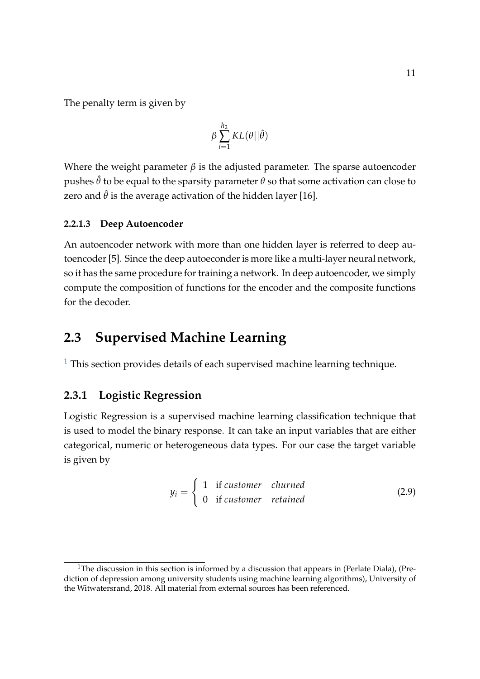The penalty term is given by

$$
\beta \sum_{i=1}^{h_2} KL(\theta || \hat{\theta})
$$

Where the weight parameter  $\beta$  is the adjusted parameter. The sparse autoencoder pushes  $\hat{\theta}$  to be equal to the sparsity parameter  $\theta$  so that some activation can close to zero and  $\hat{\theta}$  is the average activation of the hidden layer [\[16\]](#page-64-3).

#### <span id="page-20-0"></span>**2.2.1.3 Deep Autoencoder**

An autoencoder network with more than one hidden layer is referred to deep autoencoder [\[5\]](#page-63-3). Since the deep autoeconder is more like a multi-layer neural network, so it has the same procedure for training a network. In deep autoencoder, we simply compute the composition of functions for the encoder and the composite functions for the decoder.

## <span id="page-20-1"></span>**2.3 Supervised Machine Learning**

 $1$  This section provides details of each supervised machine learning technique.

## <span id="page-20-2"></span>**2.3.1 Logistic Regression**

Logistic Regression is a supervised machine learning classification technique that is used to model the binary response. It can take an input variables that are either categorical, numeric or heterogeneous data types. For our case the target variable is given by

$$
y_i = \begin{cases} 1 & \text{if customer } \text{clurmed} \\ 0 & \text{if customer } \text{retained} \end{cases} \tag{2.9}
$$

<span id="page-20-3"></span><sup>&</sup>lt;sup>1</sup>The discussion in this section is informed by a discussion that appears in (Perlate Diala), (Prediction of depression among university students using machine learning algorithms), University of the Witwatersrand, 2018. All material from external sources has been referenced.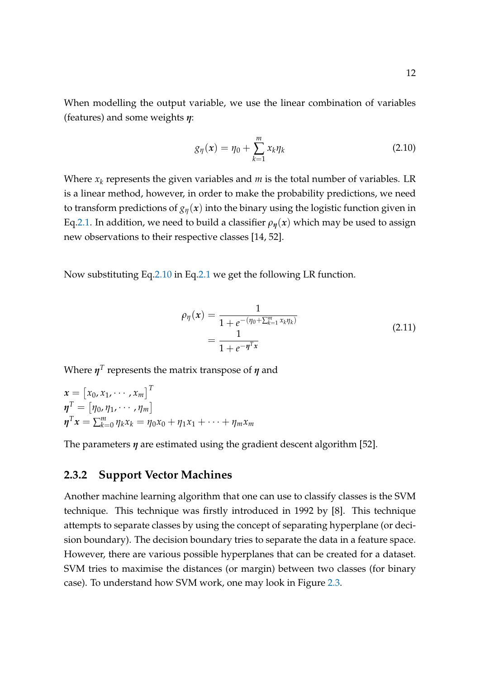When modelling the output variable, we use the linear combination of variables (features) and some weights *η*:

<span id="page-21-1"></span>
$$
g_{\eta}(x) = \eta_0 + \sum_{k=1}^{m} x_k \eta_k \tag{2.10}
$$

Where  $x_k$  represents the given variables and  $m$  is the total number of variables. LR is a linear method, however, in order to make the probability predictions, we need to transform predictions of  $g_n(x)$  into the binary using the logistic function given in Eq[.2.1.](#page-17-0) In addition, we need to build a classifier  $\rho_n(x)$  which may be used to assign new observations to their respective classes [\[14,](#page-64-4) [52\]](#page-67-7).

Now substituting Eq[.2.10](#page-21-1) in Eq[.2.1](#page-17-0) we get the following LR function.

$$
\rho_{\eta}(x) = \frac{1}{1 + e^{-(\eta_0 + \sum_{k=1}^m x_k \eta_k)}}
$$
\n
$$
= \frac{1}{1 + e^{-\eta^T x}}
$$
\n(2.11)

Where *η T* represents the matrix transpose of *η* and

$$
\begin{aligned} \n\mathbf{x} &= \begin{bmatrix} x_0, x_1, \cdots, x_m \end{bmatrix}^T \\ \n\mathbf{\eta}^T &= \begin{bmatrix} \eta_0, \eta_1, \cdots, \eta_m \end{bmatrix} \\ \n\mathbf{\eta}^T \mathbf{x} &= \sum_{k=0}^m \eta_k x_k = \eta_0 x_0 + \eta_1 x_1 + \cdots + \eta_m x_m \n\end{aligned}
$$

The parameters *η* are estimated using the gradient descent algorithm [\[52\]](#page-67-7).

### <span id="page-21-0"></span>**2.3.2 Support Vector Machines**

Another machine learning algorithm that one can use to classify classes is the SVM technique. This technique was firstly introduced in 1992 by [\[8\]](#page-63-4). This technique attempts to separate classes by using the concept of separating hyperplane (or decision boundary). The decision boundary tries to separate the data in a feature space. However, there are various possible hyperplanes that can be created for a dataset. SVM tries to maximise the distances (or margin) between two classes (for binary case). To understand how SVM work, one may look in Figure [2.3.](#page-22-0)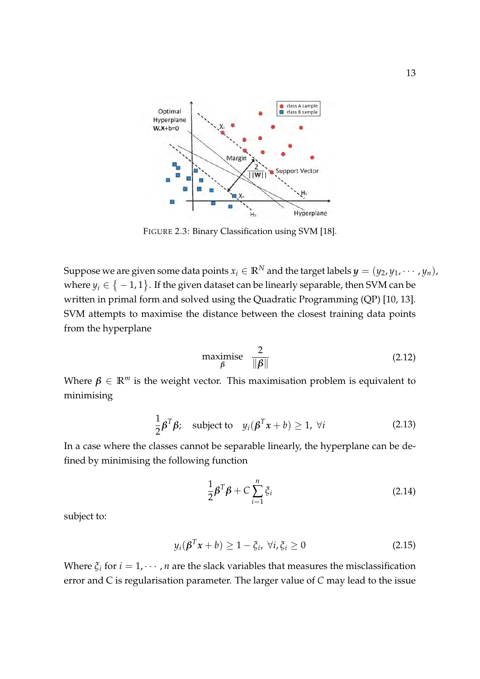<span id="page-22-0"></span>

FIGURE 2.3: Binary Classification using SVM [\[18\]](#page-64-0).

Suppose we are given some data points  $x_i \in \mathbb{R}^N$  and the target labels  $y = (y_2, y_1, \dots, y_n)$ , where  $y_i \in \big\{-1,1\big\}$ . If the given dataset can be linearly separable, then SVM can be written in primal form and solved using the Quadratic Programming (QP) [\[10,](#page-63-5) [13\]](#page-64-5). SVM attempts to maximise the distance between the closest training data points from the hyperplane

$$
\begin{array}{ll}\text{maximise} & \frac{2}{\|\beta\|}\end{array} \tag{2.12}
$$

Where  $\beta \in \mathbb{R}^m$  is the weight vector. This maximisation problem is equivalent to minimising

$$
\frac{1}{2}\boldsymbol{\beta}^T\boldsymbol{\beta}; \quad \text{subject to} \quad y_i(\boldsymbol{\beta}^T\boldsymbol{x} + b) \ge 1, \ \forall i \tag{2.13}
$$

In a case where the classes cannot be separable linearly, the hyperplane can be defined by minimising the following function

$$
\frac{1}{2}\boldsymbol{\beta}^T\boldsymbol{\beta} + C\sum_{i=1}^n \zeta_i
$$
 (2.14)

subject to:

$$
y_i(\boldsymbol{\beta}^T \boldsymbol{x} + b) \ge 1 - \xi_i, \ \forall i, \xi_i \ge 0 \tag{2.15}
$$

Where  $\xi_i$  for  $i = 1, \dots, n$  are the slack variables that measures the misclassification error and C is regularisation parameter. The larger value of *C* may lead to the issue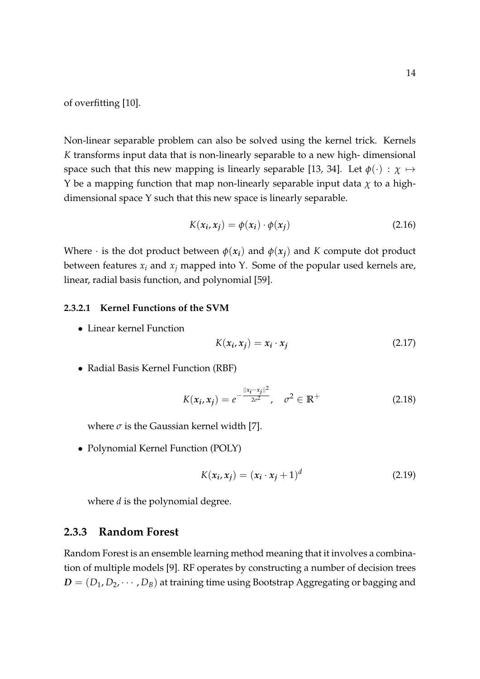of overfitting [\[10\]](#page-63-5).

Non-linear separable problem can also be solved using the kernel trick. Kernels *K* transforms input data that is non-linearly separable to a new high- dimensional space such that this new mapping is linearly separable [\[13,](#page-64-5) [34\]](#page-66-5). Let  $\phi(\cdot) : \chi \mapsto$ Y be a mapping function that map non-linearly separable input data  $\chi$  to a highdimensional space Υ such that this new space is linearly separable.

$$
K(x_i, x_j) = \phi(x_i) \cdot \phi(x_j) \tag{2.16}
$$

Where  $\cdot$  is the dot product between  $\phi(x_i)$  and  $\phi(x_i)$  and *K* compute dot product between features  $x_i$  and  $x_j$  mapped into Y. Some of the popular used kernels are, linear, radial basis function, and polynomial [\[59\]](#page-68-4).

#### <span id="page-23-0"></span>**2.3.2.1 Kernel Functions of the SVM**

• Linear kernel Function

$$
K(x_i, x_j) = x_i \cdot x_j \tag{2.17}
$$

• Radial Basis Kernel Function (RBF)

$$
K(x_i, x_j) = e^{-\frac{||x_i - x_j||^2}{2\sigma^2}}, \quad \sigma^2 \in \mathbb{R}^+
$$
 (2.18)

where  $\sigma$  is the Gaussian kernel width [\[7\]](#page-63-6).

• Polynomial Kernel Function (POLY)

$$
K(x_i, x_j) = (x_i \cdot x_j + 1)^d \tag{2.19}
$$

where *d* is the polynomial degree.

#### <span id="page-23-1"></span>**2.3.3 Random Forest**

Random Forest is an ensemble learning method meaning that it involves a combination of multiple models [\[9\]](#page-63-7). RF operates by constructing a number of decision trees  $D = (D_1, D_2, \cdots, D_B)$  at training time using Bootstrap Aggregating or bagging and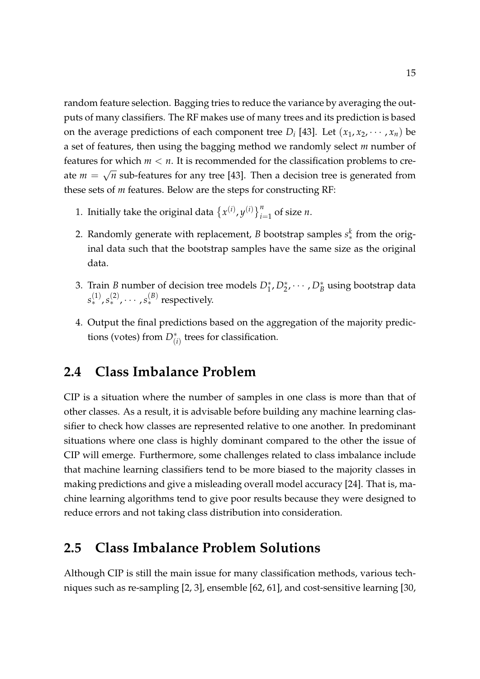random feature selection. Bagging tries to reduce the variance by averaging the outputs of many classifiers. The RF makes use of many trees and its prediction is based on the average predictions of each component tree  $D_i$  [\[43\]](#page-66-6). Let  $(x_1, x_2, \dots, x_n)$  be a set of features, then using the bagging method we randomly select *m* number of features for which *m* < *n*. It is recommended for the classification problems to create  $m =$ √ *n* sub-features for any tree [\[43\]](#page-66-6). Then a decision tree is generated from these sets of *m* features. Below are the steps for constructing RF:

- 1. Initially take the original data  $\{x^{(i)}, y^{(i)}\}_{i=1}^n$  of size *n*.
- 2. Randomly generate with replacement, *B* bootstrap samples *s*<sup>*k*</sup> from the original data such that the bootstrap samples have the same size as the original data.
- 3. Train *B* number of decision tree models  $D_1^*, D_2^*, \cdots, D_B^*$  using bootstrap data  $s^{(1)}_*,s^{(2)}_*,\cdots,s^{(B)}_*$  respectively.
- 4. Output the final predictions based on the aggregation of the majority predictions (votes) from  $D^*_{(i)}$  trees for classification.

# <span id="page-24-0"></span>**2.4 Class Imbalance Problem**

CIP is a situation where the number of samples in one class is more than that of other classes. As a result, it is advisable before building any machine learning classifier to check how classes are represented relative to one another. In predominant situations where one class is highly dominant compared to the other the issue of CIP will emerge. Furthermore, some challenges related to class imbalance include that machine learning classifiers tend to be more biased to the majority classes in making predictions and give a misleading overall model accuracy [\[24\]](#page-65-4). That is, machine learning algorithms tend to give poor results because they were designed to reduce errors and not taking class distribution into consideration.

## <span id="page-24-1"></span>**2.5 Class Imbalance Problem Solutions**

Although CIP is still the main issue for many classification methods, various techniques such as re-sampling [\[2,](#page-63-8) [3\]](#page-63-9), ensemble [\[62,](#page-68-5) [61\]](#page-68-6), and cost-sensitive learning [\[30,](#page-65-7)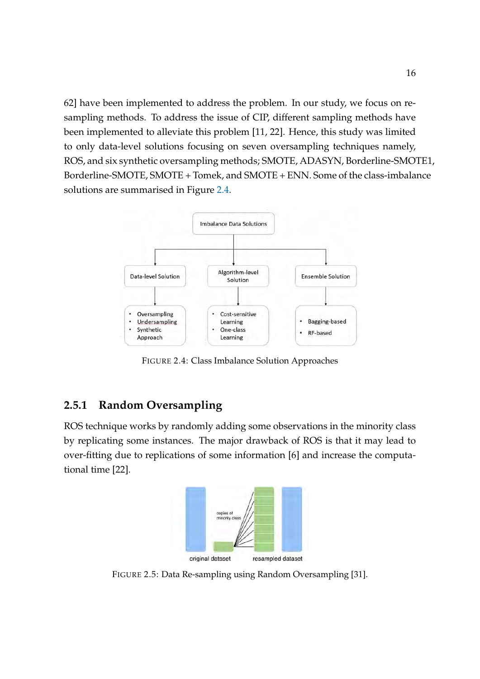[62\]](#page-68-5) have been implemented to address the problem. In our study, we focus on resampling methods. To address the issue of CIP, different sampling methods have been implemented to alleviate this problem [\[11,](#page-64-2) [22\]](#page-65-2). Hence, this study was limited to only data-level solutions focusing on seven oversampling techniques namely, ROS, and six synthetic oversampling methods; SMOTE, ADASYN, Borderline-SMOTE1, Borderline-SMOTE, SMOTE + Tomek, and SMOTE + ENN. Some of the class-imbalance solutions are summarised in Figure [2.4.](#page-25-1)

<span id="page-25-1"></span>

FIGURE 2.4: Class Imbalance Solution Approaches

## <span id="page-25-0"></span>**2.5.1 Random Oversampling**

<span id="page-25-2"></span>ROS technique works by randomly adding some observations in the minority class by replicating some instances. The major drawback of ROS is that it may lead to over-fitting due to replications of some information [\[6\]](#page-63-1) and increase the computational time [\[22\]](#page-65-2).



FIGURE 2.5: Data Re-sampling using Random Oversampling [\[31\]](#page-65-0).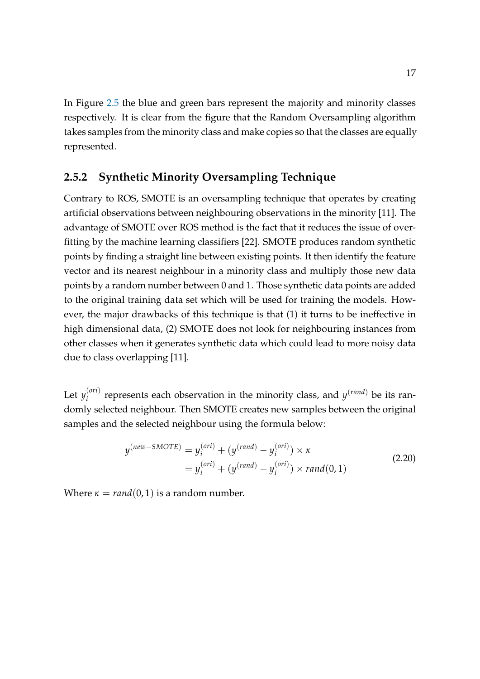In Figure [2.5](#page-25-2) the blue and green bars represent the majority and minority classes respectively. It is clear from the figure that the Random Oversampling algorithm takes samples from the minority class and make copies so that the classes are equally represented.

### <span id="page-26-0"></span>**2.5.2 Synthetic Minority Oversampling Technique**

Contrary to ROS, SMOTE is an oversampling technique that operates by creating artificial observations between neighbouring observations in the minority [\[11\]](#page-64-2). The advantage of SMOTE over ROS method is the fact that it reduces the issue of overfitting by the machine learning classifiers [\[22\]](#page-65-2). SMOTE produces random synthetic points by finding a straight line between existing points. It then identify the feature vector and its nearest neighbour in a minority class and multiply those new data points by a random number between 0 and 1. Those synthetic data points are added to the original training data set which will be used for training the models. However, the major drawbacks of this technique is that (1) it turns to be ineffective in high dimensional data, (2) SMOTE does not look for neighbouring instances from other classes when it generates synthetic data which could lead to more noisy data due to class overlapping [\[11\]](#page-64-2).

Let  $y_i^{(ori)}$  $f_i^{(ori)}$  represents each observation in the minority class, and  $y^{(rand)}$  be its randomly selected neighbour. Then SMOTE creates new samples between the original samples and the selected neighbour using the formula below:

$$
y^{(new-SMOTE)} = y_i^{(ori)} + (y^{(rand)} - y_i^{(ori)}) \times \kappa
$$
  
=  $y_i^{(ori)} + (y^{(rand)} - y_i^{(ori)}) \times rand(0, 1)$  (2.20)

Where  $\kappa = \text{rand}(0, 1)$  is a random number.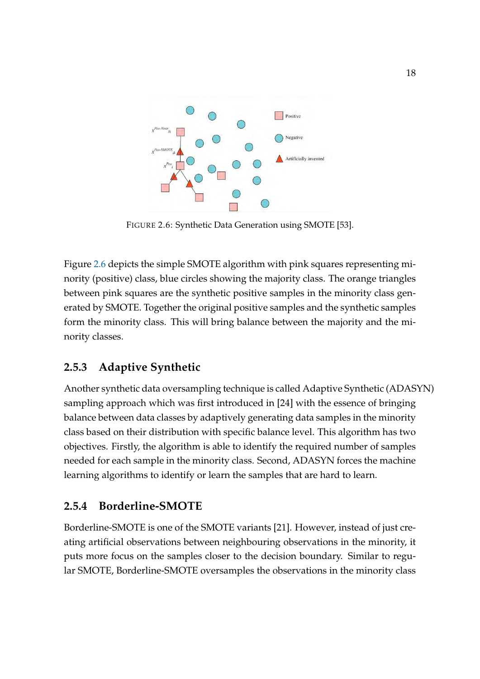<span id="page-27-2"></span>

FIGURE 2.6: Synthetic Data Generation using SMOTE [\[53\]](#page-67-1).

Figure [2.6](#page-27-2) depicts the simple SMOTE algorithm with pink squares representing minority (positive) class, blue circles showing the majority class. The orange triangles between pink squares are the synthetic positive samples in the minority class generated by SMOTE. Together the original positive samples and the synthetic samples form the minority class. This will bring balance between the majority and the minority classes.

## <span id="page-27-0"></span>**2.5.3 Adaptive Synthetic**

Another synthetic data oversampling technique is called Adaptive Synthetic (ADASYN) sampling approach which was first introduced in [\[24\]](#page-65-4) with the essence of bringing balance between data classes by adaptively generating data samples in the minority class based on their distribution with specific balance level. This algorithm has two objectives. Firstly, the algorithm is able to identify the required number of samples needed for each sample in the minority class. Second, ADASYN forces the machine learning algorithms to identify or learn the samples that are hard to learn.

## <span id="page-27-1"></span>**2.5.4 Borderline-SMOTE**

Borderline-SMOTE is one of the SMOTE variants [\[21\]](#page-64-6). However, instead of just creating artificial observations between neighbouring observations in the minority, it puts more focus on the samples closer to the decision boundary. Similar to regular SMOTE, Borderline-SMOTE oversamples the observations in the minority class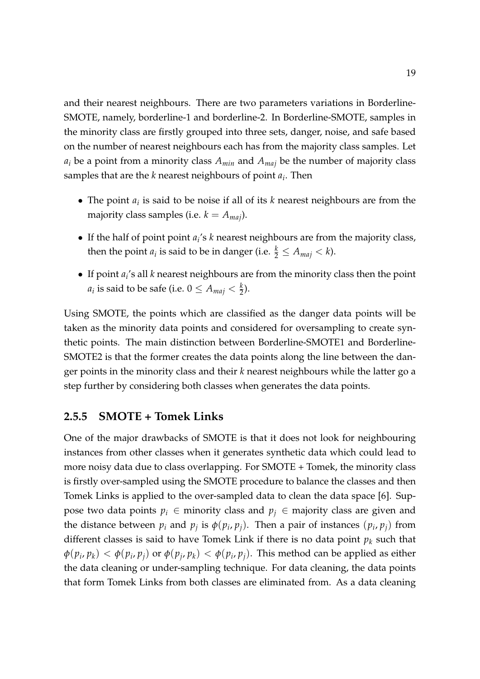and their nearest neighbours. There are two parameters variations in Borderline-SMOTE, namely, borderline-1 and borderline-2. In Borderline-SMOTE, samples in the minority class are firstly grouped into three sets, danger, noise, and safe based on the number of nearest neighbours each has from the majority class samples. Let *a<sup>i</sup>* be a point from a minority class *Amin* and *Amaj* be the number of majority class samples that are the *k* nearest neighbours of point *a<sup>i</sup>* . Then

- The point *a<sup>i</sup>* is said to be noise if all of its *k* nearest neighbours are from the majority class samples (i.e.  $k = A_{\text{maj}}$ ).
- If the half of point point *a<sup>i</sup>* 's *k* nearest neighbours are from the majority class, then the point  $a_i$  is said to be in danger (i.e.  $\frac{k}{2} \leq A_{maj} < k$ ).
- If point *a<sup>i</sup>* 's all *k* nearest neighbours are from the minority class then the point  $a_i$  is said to be safe (i.e.  $0 \leq A_{maj} < \frac{k}{2}$ ).

Using SMOTE, the points which are classified as the danger data points will be taken as the minority data points and considered for oversampling to create synthetic points. The main distinction between Borderline-SMOTE1 and Borderline-SMOTE2 is that the former creates the data points along the line between the danger points in the minority class and their *k* nearest neighbours while the latter go a step further by considering both classes when generates the data points.

#### <span id="page-28-0"></span>**2.5.5 SMOTE + Tomek Links**

One of the major drawbacks of SMOTE is that it does not look for neighbouring instances from other classes when it generates synthetic data which could lead to more noisy data due to class overlapping. For SMOTE + Tomek, the minority class is firstly over-sampled using the SMOTE procedure to balance the classes and then Tomek Links is applied to the over-sampled data to clean the data space [\[6\]](#page-63-1). Suppose two data points  $p_i \in$  minority class and  $p_j \in$  majority class are given and the distance between  $p_i$  and  $p_j$  is  $\phi(p_i, p_j)$ . Then a pair of instances  $(p_i, p_j)$  from different classes is said to have Tomek Link if there is no data point *p<sup>k</sup>* such that  $\phi(p_i,p_k)<\phi(p_i,p_j)$  or  $\phi(p_j,p_k)<\phi(p_i,p_j).$  This method can be applied as either the data cleaning or under-sampling technique. For data cleaning, the data points that form Tomek Links from both classes are eliminated from. As a data cleaning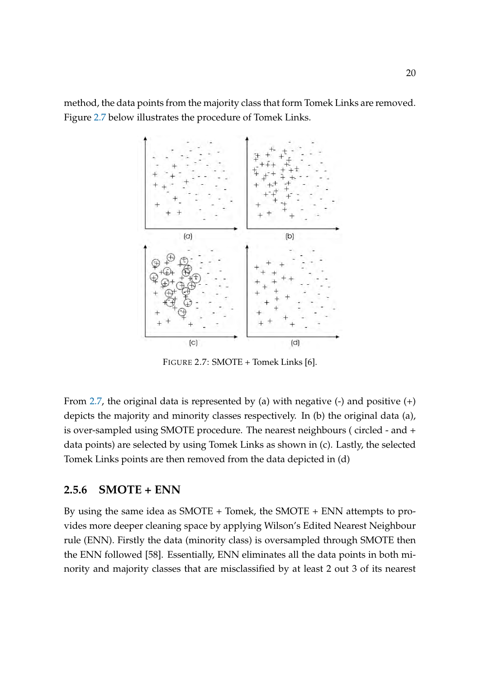<span id="page-29-1"></span>method, the data points from the majority class that form Tomek Links are removed. Figure [2.7](#page-29-1) below illustrates the procedure of Tomek Links.



FIGURE 2.7: SMOTE + Tomek Links [\[6\]](#page-63-1).

From [2.7,](#page-29-1) the original data is represented by (a) with negative  $(-)$  and positive  $(+)$ depicts the majority and minority classes respectively. In (b) the original data (a), is over-sampled using SMOTE procedure. The nearest neighbours ( circled - and + data points) are selected by using Tomek Links as shown in (c). Lastly, the selected Tomek Links points are then removed from the data depicted in (d)

### <span id="page-29-0"></span>**2.5.6 SMOTE + ENN**

By using the same idea as SMOTE + Tomek, the SMOTE + ENN attempts to provides more deeper cleaning space by applying Wilson's Edited Nearest Neighbour rule (ENN). Firstly the data (minority class) is oversampled through SMOTE then the ENN followed [\[58\]](#page-68-7). Essentially, ENN eliminates all the data points in both minority and majority classes that are misclassified by at least 2 out 3 of its nearest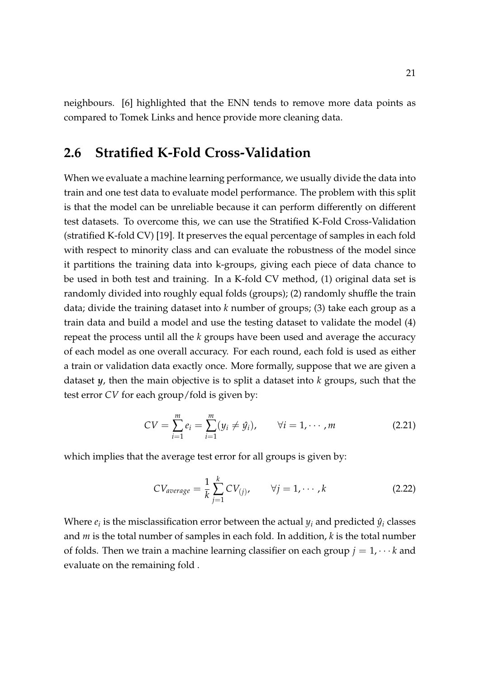neighbours. [\[6\]](#page-63-1) highlighted that the ENN tends to remove more data points as compared to Tomek Links and hence provide more cleaning data.

## <span id="page-30-0"></span>**2.6 Stratified K-Fold Cross-Validation**

When we evaluate a machine learning performance, we usually divide the data into train and one test data to evaluate model performance. The problem with this split is that the model can be unreliable because it can perform differently on different test datasets. To overcome this, we can use the Stratified K-Fold Cross-Validation (stratified K-fold CV) [\[19\]](#page-64-1). It preserves the equal percentage of samples in each fold with respect to minority class and can evaluate the robustness of the model since it partitions the training data into k-groups, giving each piece of data chance to be used in both test and training. In a K-fold CV method, (1) original data set is randomly divided into roughly equal folds (groups); (2) randomly shuffle the train data; divide the training dataset into *k* number of groups; (3) take each group as a train data and build a model and use the testing dataset to validate the model (4) repeat the process until all the *k* groups have been used and average the accuracy of each model as one overall accuracy. For each round, each fold is used as either a train or validation data exactly once. More formally, suppose that we are given a dataset *y*, then the main objective is to split a dataset into *k* groups, such that the test error *CV* for each group/fold is given by:

$$
CV = \sum_{i=1}^{m} e_i = \sum_{i=1}^{m} (y_i \neq \hat{y}_i), \qquad \forall i = 1, \cdots, m
$$
 (2.21)

which implies that the average test error for all groups is given by:

$$
CV_{average} = \frac{1}{k} \sum_{j=1}^{k} CV_{(j)}, \qquad \forall j = 1, \cdots, k
$$
 (2.22)

Where  $e_i$  is the misclassification error between the actual  $y_i$  and predicted  $\hat{y}_i$  classes and *m* is the total number of samples in each fold. In addition, *k* is the total number of folds. Then we train a machine learning classifier on each group  $j = 1, \dots k$  and evaluate on the remaining fold .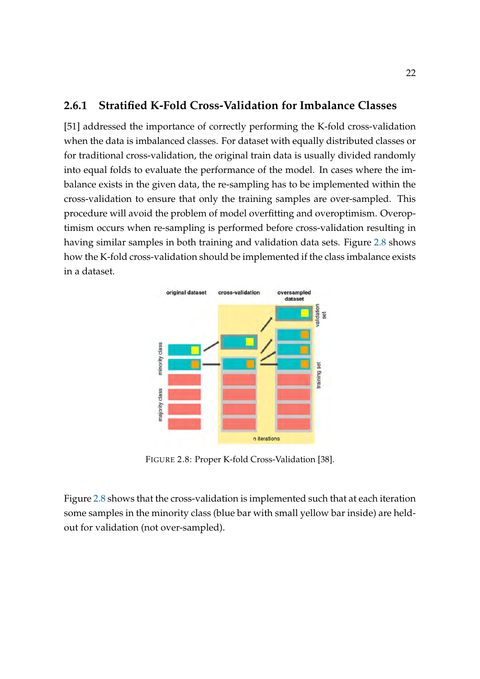### <span id="page-31-0"></span>**2.6.1 Stratified K-Fold Cross-Validation for Imbalance Classes**

[\[51\]](#page-67-8) addressed the importance of correctly performing the K-fold cross-validation when the data is imbalanced classes. For dataset with equally distributed classes or for traditional cross-validation, the original train data is usually divided randomly into equal folds to evaluate the performance of the model. In cases where the imbalance exists in the given data, the re-sampling has to be implemented within the cross-validation to ensure that only the training samples are over-sampled. This procedure will avoid the problem of model overfitting and overoptimism. Overoptimism occurs when re-sampling is performed before cross-validation resulting in having similar samples in both training and validation data sets. Figure [2.8](#page-31-1) shows how the K-fold cross-validation should be implemented if the class imbalance exists in a dataset.

<span id="page-31-1"></span>

FIGURE 2.8: Proper K-fold Cross-Validation [\[38\]](#page-66-1).

Figure [2.8](#page-31-1) shows that the cross-validation is implemented such that at each iteration some samples in the minority class (blue bar with small yellow bar inside) are heldout for validation (not over-sampled).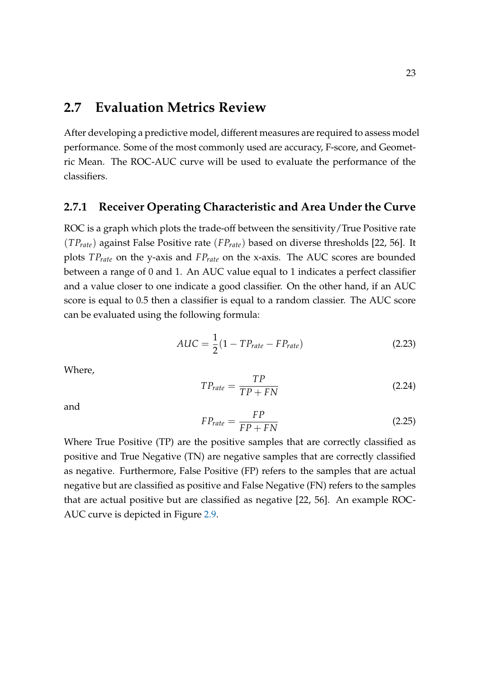## <span id="page-32-0"></span>**2.7 Evaluation Metrics Review**

After developing a predictive model, different measures are required to assess model performance. Some of the most commonly used are accuracy, F-score, and Geometric Mean. The ROC-AUC curve will be used to evaluate the performance of the classifiers.

### <span id="page-32-1"></span>**2.7.1 Receiver Operating Characteristic and Area Under the Curve**

ROC is a graph which plots the trade-off between the sensitivity/True Positive rate (*TPrate*) against False Positive rate (*FPrate*) based on diverse thresholds [\[22,](#page-65-2) [56\]](#page-68-0). It plots *TPrate* on the y-axis and *FPrate* on the x-axis. The AUC scores are bounded between a range of 0 and 1. An AUC value equal to 1 indicates a perfect classifier and a value closer to one indicate a good classifier. On the other hand, if an AUC score is equal to 0.5 then a classifier is equal to a random classier. The AUC score can be evaluated using the following formula:

$$
AUC = \frac{1}{2}(1 - TP_{rate} - FP_{rate})
$$
\n(2.23)

Where,

$$
TP_{rate} = \frac{TP}{TP + FN} \tag{2.24}
$$

and

$$
FP_{rate} = \frac{FP}{FP + FN} \tag{2.25}
$$

Where True Positive (TP) are the positive samples that are correctly classified as positive and True Negative (TN) are negative samples that are correctly classified as negative. Furthermore, False Positive (FP) refers to the samples that are actual negative but are classified as positive and False Negative (FN) refers to the samples that are actual positive but are classified as negative [\[22,](#page-65-2) [56\]](#page-68-0). An example ROC-AUC curve is depicted in Figure [2.9.](#page-33-1)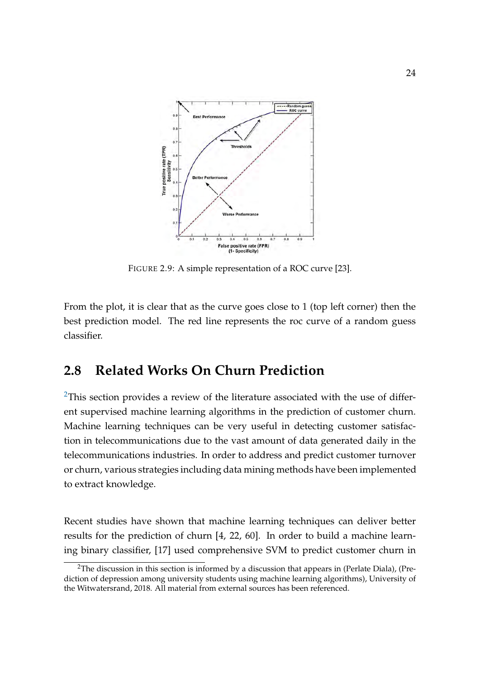<span id="page-33-1"></span>

FIGURE 2.9: A simple representation of a ROC curve [\[23\]](#page-65-1).

From the plot, it is clear that as the curve goes close to 1 (top left corner) then the best prediction model. The red line represents the roc curve of a random guess classifier.

## <span id="page-33-0"></span>**2.8 Related Works On Churn Prediction**

<sup>[2](#page-33-2)</sup>This section provides a review of the literature associated with the use of different supervised machine learning algorithms in the prediction of customer churn. Machine learning techniques can be very useful in detecting customer satisfaction in telecommunications due to the vast amount of data generated daily in the telecommunications industries. In order to address and predict customer turnover or churn, various strategies including data mining methods have been implemented to extract knowledge.

Recent studies have shown that machine learning techniques can deliver better results for the prediction of churn [\[4,](#page-63-2) [22,](#page-65-2) [60\]](#page-68-1). In order to build a machine learning binary classifier, [\[17\]](#page-64-7) used comprehensive SVM to predict customer churn in

<span id="page-33-2"></span><sup>&</sup>lt;sup>2</sup>The discussion in this section is informed by a discussion that appears in (Perlate Diala), (Prediction of depression among university students using machine learning algorithms), University of the Witwatersrand, 2018. All material from external sources has been referenced.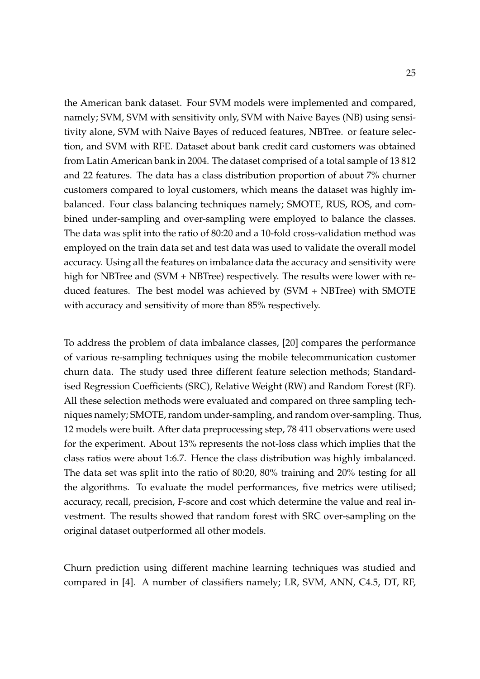the American bank dataset. Four SVM models were implemented and compared, namely; SVM, SVM with sensitivity only, SVM with Naive Bayes (NB) using sensitivity alone, SVM with Naive Bayes of reduced features, NBTree. or feature selection, and SVM with RFE. Dataset about bank credit card customers was obtained from Latin American bank in 2004. The dataset comprised of a total sample of 13 812 and 22 features. The data has a class distribution proportion of about 7% churner customers compared to loyal customers, which means the dataset was highly imbalanced. Four class balancing techniques namely; SMOTE, RUS, ROS, and combined under-sampling and over-sampling were employed to balance the classes. The data was split into the ratio of 80:20 and a 10-fold cross-validation method was employed on the train data set and test data was used to validate the overall model accuracy. Using all the features on imbalance data the accuracy and sensitivity were high for NBTree and (SVM + NBTree) respectively. The results were lower with reduced features. The best model was achieved by (SVM + NBTree) with SMOTE with accuracy and sensitivity of more than 85% respectively.

To address the problem of data imbalance classes, [\[20\]](#page-64-8) compares the performance of various re-sampling techniques using the mobile telecommunication customer churn data. The study used three different feature selection methods; Standardised Regression Coefficients (SRC), Relative Weight (RW) and Random Forest (RF). All these selection methods were evaluated and compared on three sampling techniques namely; SMOTE, random under-sampling, and random over-sampling. Thus, 12 models were built. After data preprocessing step, 78 411 observations were used for the experiment. About 13% represents the not-loss class which implies that the class ratios were about 1:6.7. Hence the class distribution was highly imbalanced. The data set was split into the ratio of 80:20, 80% training and 20% testing for all the algorithms. To evaluate the model performances, five metrics were utilised; accuracy, recall, precision, F-score and cost which determine the value and real investment. The results showed that random forest with SRC over-sampling on the original dataset outperformed all other models.

Churn prediction using different machine learning techniques was studied and compared in [\[4\]](#page-63-2). A number of classifiers namely; LR, SVM, ANN, C4.5, DT, RF,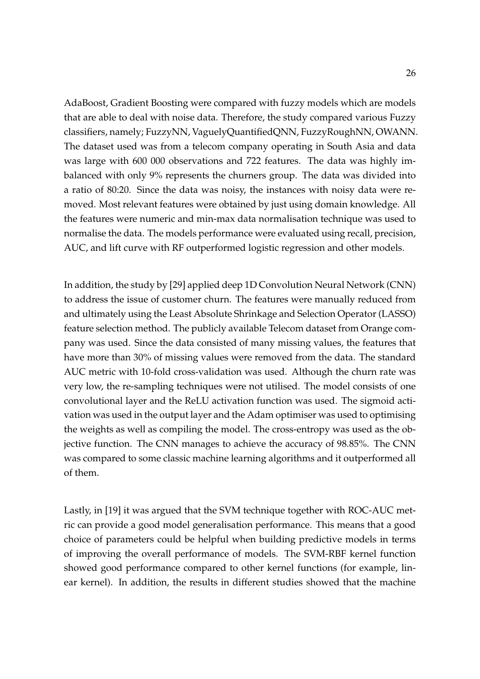AdaBoost, Gradient Boosting were compared with fuzzy models which are models that are able to deal with noise data. Therefore, the study compared various Fuzzy classifiers, namely; FuzzyNN, VaguelyQuantifiedQNN, FuzzyRoughNN, OWANN. The dataset used was from a telecom company operating in South Asia and data was large with 600 000 observations and 722 features. The data was highly imbalanced with only 9% represents the churners group. The data was divided into a ratio of 80:20. Since the data was noisy, the instances with noisy data were removed. Most relevant features were obtained by just using domain knowledge. All the features were numeric and min-max data normalisation technique was used to normalise the data. The models performance were evaluated using recall, precision, AUC, and lift curve with RF outperformed logistic regression and other models.

In addition, the study by [\[29\]](#page-65-8) applied deep 1D Convolution Neural Network (CNN) to address the issue of customer churn. The features were manually reduced from and ultimately using the Least Absolute Shrinkage and Selection Operator (LASSO) feature selection method. The publicly available Telecom dataset from Orange company was used. Since the data consisted of many missing values, the features that have more than 30% of missing values were removed from the data. The standard AUC metric with 10-fold cross-validation was used. Although the churn rate was very low, the re-sampling techniques were not utilised. The model consists of one convolutional layer and the ReLU activation function was used. The sigmoid activation was used in the output layer and the Adam optimiser was used to optimising the weights as well as compiling the model. The cross-entropy was used as the objective function. The CNN manages to achieve the accuracy of 98.85%. The CNN was compared to some classic machine learning algorithms and it outperformed all of them.

Lastly, in [\[19\]](#page-64-1) it was argued that the SVM technique together with ROC-AUC metric can provide a good model generalisation performance. This means that a good choice of parameters could be helpful when building predictive models in terms of improving the overall performance of models. The SVM-RBF kernel function showed good performance compared to other kernel functions (for example, linear kernel). In addition, the results in different studies showed that the machine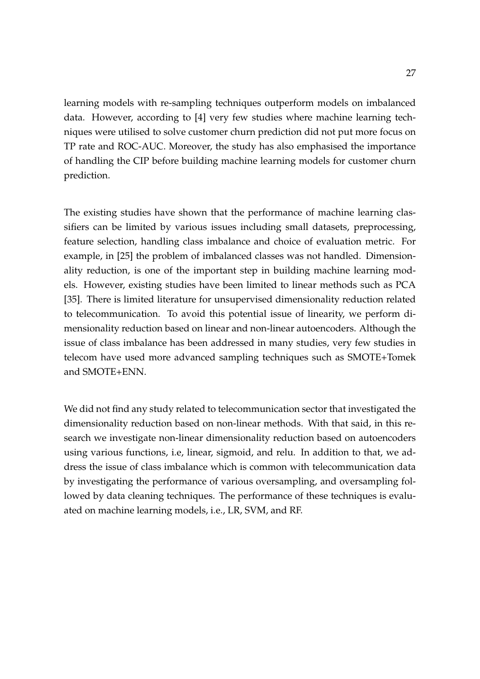learning models with re-sampling techniques outperform models on imbalanced data. However, according to [\[4\]](#page-63-2) very few studies where machine learning techniques were utilised to solve customer churn prediction did not put more focus on TP rate and ROC-AUC. Moreover, the study has also emphasised the importance of handling the CIP before building machine learning models for customer churn prediction.

The existing studies have shown that the performance of machine learning classifiers can be limited by various issues including small datasets, preprocessing, feature selection, handling class imbalance and choice of evaluation metric. For example, in [\[25\]](#page-65-3) the problem of imbalanced classes was not handled. Dimensionality reduction, is one of the important step in building machine learning models. However, existing studies have been limited to linear methods such as PCA [\[35\]](#page-66-7). There is limited literature for unsupervised dimensionality reduction related to telecommunication. To avoid this potential issue of linearity, we perform dimensionality reduction based on linear and non-linear autoencoders. Although the issue of class imbalance has been addressed in many studies, very few studies in telecom have used more advanced sampling techniques such as SMOTE+Tomek and SMOTE+ENN.

We did not find any study related to telecommunication sector that investigated the dimensionality reduction based on non-linear methods. With that said, in this research we investigate non-linear dimensionality reduction based on autoencoders using various functions, i.e, linear, sigmoid, and relu. In addition to that, we address the issue of class imbalance which is common with telecommunication data by investigating the performance of various oversampling, and oversampling followed by data cleaning techniques. The performance of these techniques is evaluated on machine learning models, i.e., LR, SVM, and RF.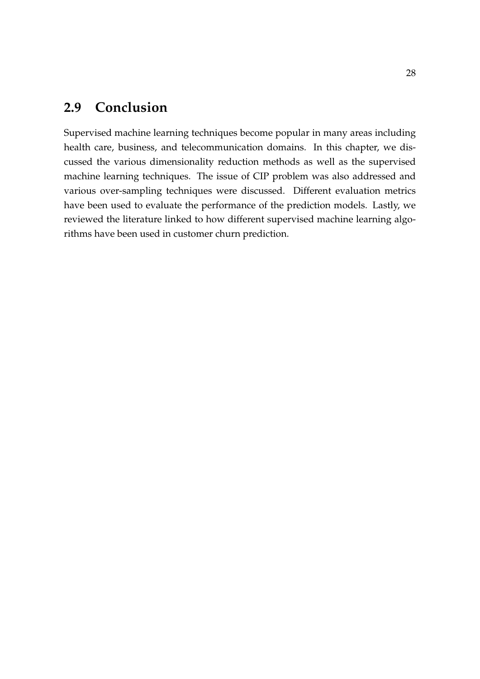# <span id="page-37-0"></span>**2.9 Conclusion**

Supervised machine learning techniques become popular in many areas including health care, business, and telecommunication domains. In this chapter, we discussed the various dimensionality reduction methods as well as the supervised machine learning techniques. The issue of CIP problem was also addressed and various over-sampling techniques were discussed. Different evaluation metrics have been used to evaluate the performance of the prediction models. Lastly, we reviewed the literature linked to how different supervised machine learning algorithms have been used in customer churn prediction.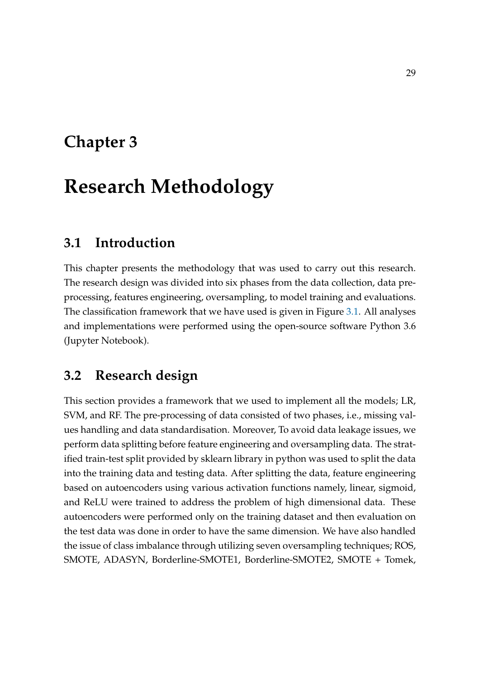# <span id="page-38-0"></span>**Chapter 3**

# **Research Methodology**

# <span id="page-38-1"></span>**3.1 Introduction**

This chapter presents the methodology that was used to carry out this research. The research design was divided into six phases from the data collection, data preprocessing, features engineering, oversampling, to model training and evaluations. The classification framework that we have used is given in Figure [3.1.](#page-39-0) All analyses and implementations were performed using the open-source software Python 3.6 (Jupyter Notebook).

## <span id="page-38-2"></span>**3.2 Research design**

This section provides a framework that we used to implement all the models; LR, SVM, and RF. The pre-processing of data consisted of two phases, i.e., missing values handling and data standardisation. Moreover, To avoid data leakage issues, we perform data splitting before feature engineering and oversampling data. The stratified train-test split provided by sklearn library in python was used to split the data into the training data and testing data. After splitting the data, feature engineering based on autoencoders using various activation functions namely, linear, sigmoid, and ReLU were trained to address the problem of high dimensional data. These autoencoders were performed only on the training dataset and then evaluation on the test data was done in order to have the same dimension. We have also handled the issue of class imbalance through utilizing seven oversampling techniques; ROS, SMOTE, ADASYN, Borderline-SMOTE1, Borderline-SMOTE2, SMOTE + Tomek,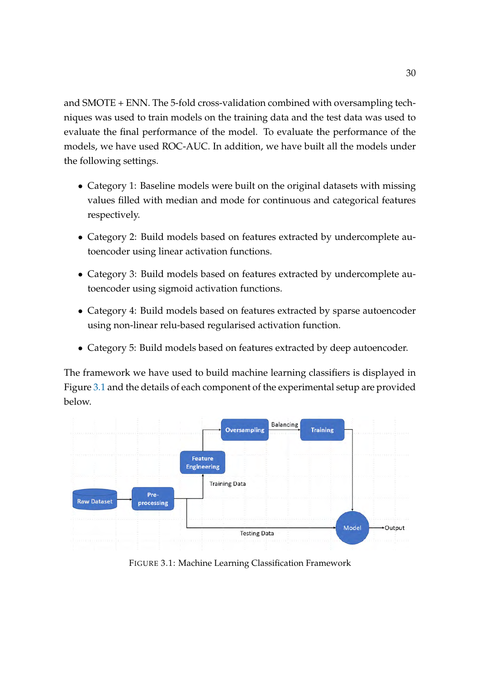and SMOTE + ENN. The 5-fold cross-validation combined with oversampling techniques was used to train models on the training data and the test data was used to evaluate the final performance of the model. To evaluate the performance of the models, we have used ROC-AUC. In addition, we have built all the models under the following settings.

- Category 1: Baseline models were built on the original datasets with missing values filled with median and mode for continuous and categorical features respectively.
- Category 2: Build models based on features extracted by undercomplete autoencoder using linear activation functions.
- Category 3: Build models based on features extracted by undercomplete autoencoder using sigmoid activation functions.
- Category 4: Build models based on features extracted by sparse autoencoder using non-linear relu-based regularised activation function.
- Category 5: Build models based on features extracted by deep autoencoder.

The framework we have used to build machine learning classifiers is displayed in Figure [3.1](#page-39-0) and the details of each component of the experimental setup are provided below.

<span id="page-39-0"></span>

FIGURE 3.1: Machine Learning Classification Framework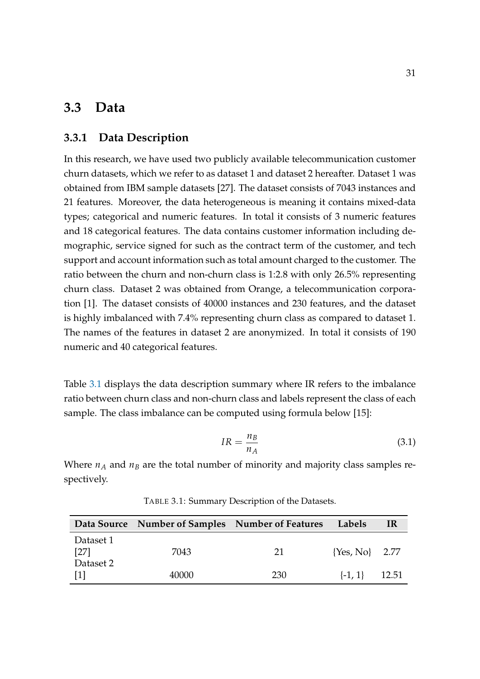## <span id="page-40-0"></span>**3.3 Data**

#### <span id="page-40-1"></span>**3.3.1 Data Description**

In this research, we have used two publicly available telecommunication customer churn datasets, which we refer to as dataset 1 and dataset 2 hereafter. Dataset 1 was obtained from IBM sample datasets [\[27\]](#page-65-9). The dataset consists of 7043 instances and 21 features. Moreover, the data heterogeneous is meaning it contains mixed-data types; categorical and numeric features. In total it consists of 3 numeric features and 18 categorical features. The data contains customer information including demographic, service signed for such as the contract term of the customer, and tech support and account information such as total amount charged to the customer. The ratio between the churn and non-churn class is 1:2.8 with only 26.5% representing churn class. Dataset 2 was obtained from Orange, a telecommunication corporation [\[1\]](#page-63-10). The dataset consists of 40000 instances and 230 features, and the dataset is highly imbalanced with 7.4% representing churn class as compared to dataset 1. The names of the features in dataset 2 are anonymized. In total it consists of 190 numeric and 40 categorical features.

Table [3.1](#page-40-2) displays the data description summary where IR refers to the imbalance ratio between churn class and non-churn class and labels represent the class of each sample. The class imbalance can be computed using formula below [\[15\]](#page-64-9):

$$
IR = \frac{n_B}{n_A} \tag{3.1}
$$

Where  $n_A$  and  $n_B$  are the total number of minority and majority class samples respectively.

<span id="page-40-2"></span>

|                                | Data Source Number of Samples Number of Features |            | Labels             | IR    |
|--------------------------------|--------------------------------------------------|------------|--------------------|-------|
| Dataset 1<br>[27]              | 7043                                             | 21         | $\{Yes, No\}$ 2.77 |       |
| Dataset 2<br>$\lceil 1 \rceil$ | 40000                                            | <b>230</b> | $\{-1, 1\}$        | 12.51 |

TABLE 3.1: Summary Description of the Datasets.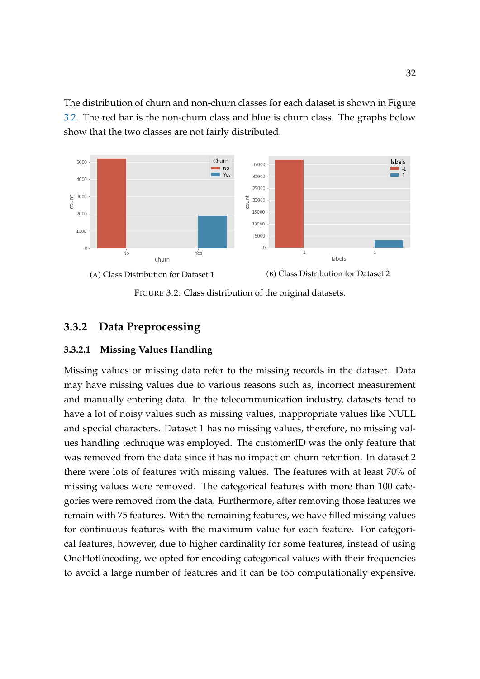The distribution of churn and non-churn classes for each dataset is shown in Figure [3.2.](#page-41-2) The red bar is the non-churn class and blue is churn class. The graphs below show that the two classes are not fairly distributed.

<span id="page-41-2"></span>

FIGURE 3.2: Class distribution of the original datasets.

### <span id="page-41-0"></span>**3.3.2 Data Preprocessing**

#### <span id="page-41-1"></span>**3.3.2.1 Missing Values Handling**

Missing values or missing data refer to the missing records in the dataset. Data may have missing values due to various reasons such as, incorrect measurement and manually entering data. In the telecommunication industry, datasets tend to have a lot of noisy values such as missing values, inappropriate values like NULL and special characters. Dataset 1 has no missing values, therefore, no missing values handling technique was employed. The customerID was the only feature that was removed from the data since it has no impact on churn retention. In dataset 2 there were lots of features with missing values. The features with at least 70% of missing values were removed. The categorical features with more than 100 categories were removed from the data. Furthermore, after removing those features we remain with 75 features. With the remaining features, we have filled missing values for continuous features with the maximum value for each feature. For categorical features, however, due to higher cardinality for some features, instead of using OneHotEncoding, we opted for encoding categorical values with their frequencies to avoid a large number of features and it can be too computationally expensive.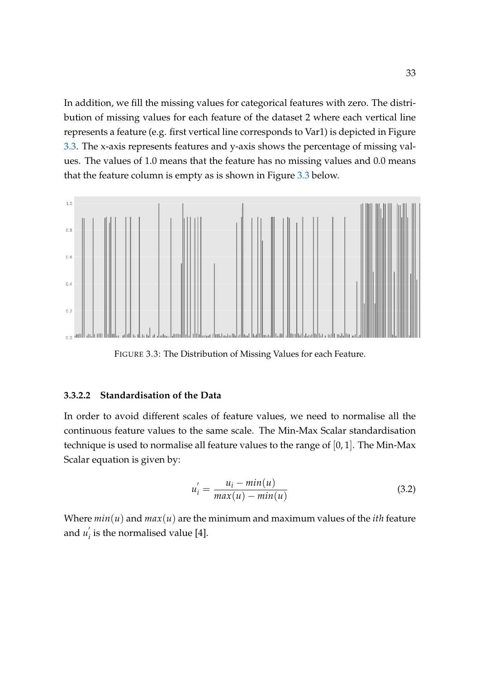In addition, we fill the missing values for categorical features with zero. The distribution of missing values for each feature of the dataset 2 where each vertical line represents a feature (e.g. first vertical line corresponds to Var1) is depicted in Figure [3.3.](#page-42-1) The x-axis represents features and y-axis shows the percentage of missing values. The values of 1.0 means that the feature has no missing values and 0.0 means that the feature column is empty as is shown in Figure [3.3](#page-42-1) below.

<span id="page-42-1"></span>

FIGURE 3.3: The Distribution of Missing Values for each Feature.

#### <span id="page-42-0"></span>**3.3.2.2 Standardisation of the Data**

In order to avoid different scales of feature values, we need to normalise all the continuous feature values to the same scale. The Min-Max Scalar standardisation technique is used to normalise all feature values to the range of [0, 1]. The Min-Max Scalar equation is given by:

$$
u'_{i} = \frac{u_{i} - \min(u)}{\max(u) - \min(u)}
$$
\n(3.2)

Where  $min(u)$  and  $max(u)$  are the minimum and maximum values of the *ith* feature and  $u'_{i}$  $\hat{a}_i$  is the normalised value [\[4\]](#page-63-2).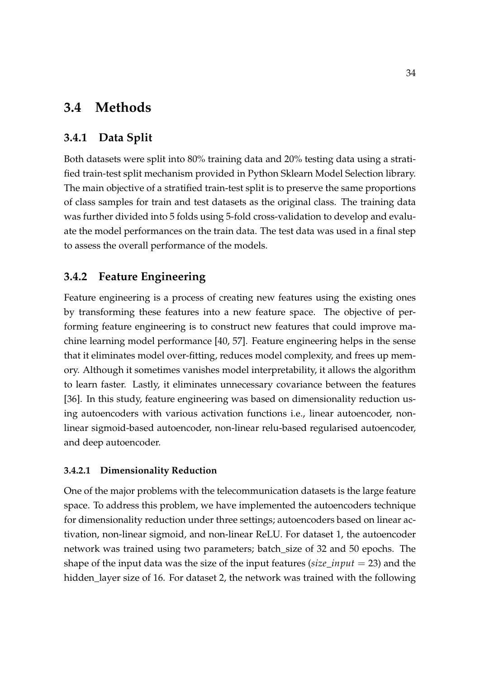## <span id="page-43-0"></span>**3.4 Methods**

### <span id="page-43-1"></span>**3.4.1 Data Split**

Both datasets were split into 80% training data and 20% testing data using a stratified train-test split mechanism provided in Python Sklearn Model Selection library. The main objective of a stratified train-test split is to preserve the same proportions of class samples for train and test datasets as the original class. The training data was further divided into 5 folds using 5-fold cross-validation to develop and evaluate the model performances on the train data. The test data was used in a final step to assess the overall performance of the models.

### <span id="page-43-2"></span>**3.4.2 Feature Engineering**

Feature engineering is a process of creating new features using the existing ones by transforming these features into a new feature space. The objective of performing feature engineering is to construct new features that could improve machine learning model performance [\[40,](#page-66-3) [57\]](#page-68-3). Feature engineering helps in the sense that it eliminates model over-fitting, reduces model complexity, and frees up memory. Although it sometimes vanishes model interpretability, it allows the algorithm to learn faster. Lastly, it eliminates unnecessary covariance between the features [\[36\]](#page-66-8). In this study, feature engineering was based on dimensionality reduction using autoencoders with various activation functions i.e., linear autoencoder, nonlinear sigmoid-based autoencoder, non-linear relu-based regularised autoencoder, and deep autoencoder.

#### <span id="page-43-3"></span>**3.4.2.1 Dimensionality Reduction**

One of the major problems with the telecommunication datasets is the large feature space. To address this problem, we have implemented the autoencoders technique for dimensionality reduction under three settings; autoencoders based on linear activation, non-linear sigmoid, and non-linear ReLU. For dataset 1, the autoencoder network was trained using two parameters; batch\_size of 32 and 50 epochs. The shape of the input data was the size of the input features (*size*\_*input* = 23) and the hidden\_layer size of 16. For dataset 2, the network was trained with the following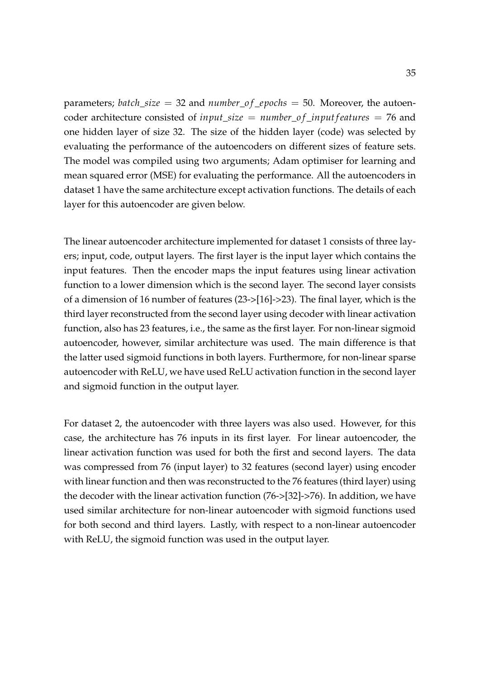parameters; *batch*\_*size* = 32 and *number*\_*o f* \_*epochs* = 50. Moreover, the autoencoder architecture consisted of *input\_size* =  $number_of$ <sub>\_</sub>*input f eatures* = 76 and one hidden layer of size 32. The size of the hidden layer (code) was selected by evaluating the performance of the autoencoders on different sizes of feature sets. The model was compiled using two arguments; Adam optimiser for learning and mean squared error (MSE) for evaluating the performance. All the autoencoders in dataset 1 have the same architecture except activation functions. The details of each layer for this autoencoder are given below.

The linear autoencoder architecture implemented for dataset 1 consists of three layers; input, code, output layers. The first layer is the input layer which contains the input features. Then the encoder maps the input features using linear activation function to a lower dimension which is the second layer. The second layer consists of a dimension of 16 number of features (23->[16]->23). The final layer, which is the third layer reconstructed from the second layer using decoder with linear activation function, also has 23 features, i.e., the same as the first layer. For non-linear sigmoid autoencoder, however, similar architecture was used. The main difference is that the latter used sigmoid functions in both layers. Furthermore, for non-linear sparse autoencoder with ReLU, we have used ReLU activation function in the second layer and sigmoid function in the output layer.

For dataset 2, the autoencoder with three layers was also used. However, for this case, the architecture has 76 inputs in its first layer. For linear autoencoder, the linear activation function was used for both the first and second layers. The data was compressed from 76 (input layer) to 32 features (second layer) using encoder with linear function and then was reconstructed to the 76 features (third layer) using the decoder with the linear activation function (76->[32]->76). In addition, we have used similar architecture for non-linear autoencoder with sigmoid functions used for both second and third layers. Lastly, with respect to a non-linear autoencoder with ReLU, the sigmoid function was used in the output layer.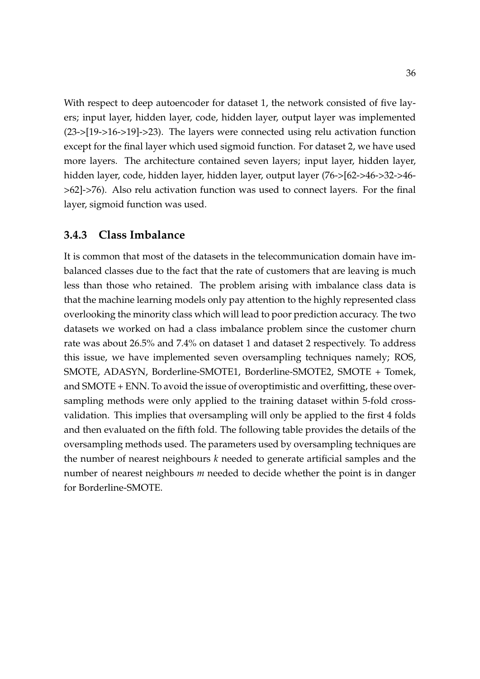With respect to deep autoencoder for dataset 1, the network consisted of five layers; input layer, hidden layer, code, hidden layer, output layer was implemented (23->[19->16->19]->23). The layers were connected using relu activation function except for the final layer which used sigmoid function. For dataset 2, we have used more layers. The architecture contained seven layers; input layer, hidden layer, hidden layer, code, hidden layer, hidden layer, output layer (76->[62->46->32->46- >62]->76). Also relu activation function was used to connect layers. For the final layer, sigmoid function was used.

### <span id="page-45-0"></span>**3.4.3 Class Imbalance**

It is common that most of the datasets in the telecommunication domain have imbalanced classes due to the fact that the rate of customers that are leaving is much less than those who retained. The problem arising with imbalance class data is that the machine learning models only pay attention to the highly represented class overlooking the minority class which will lead to poor prediction accuracy. The two datasets we worked on had a class imbalance problem since the customer churn rate was about 26.5% and 7.4% on dataset 1 and dataset 2 respectively. To address this issue, we have implemented seven oversampling techniques namely; ROS, SMOTE, ADASYN, Borderline-SMOTE1, Borderline-SMOTE2, SMOTE + Tomek, and SMOTE + ENN. To avoid the issue of overoptimistic and overfitting, these oversampling methods were only applied to the training dataset within 5-fold crossvalidation. This implies that oversampling will only be applied to the first 4 folds and then evaluated on the fifth fold. The following table provides the details of the oversampling methods used. The parameters used by oversampling techniques are the number of nearest neighbours *k* needed to generate artificial samples and the number of nearest neighbours *m* needed to decide whether the point is in danger for Borderline-SMOTE.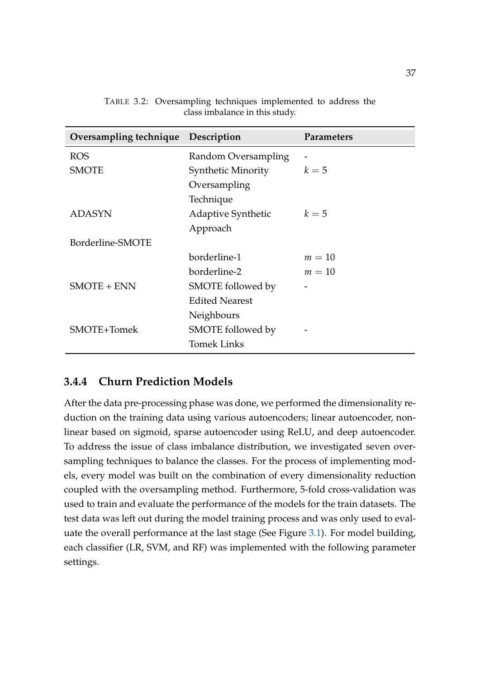<span id="page-46-1"></span>

| Oversampling technique Description |                           | <b>Parameters</b> |
|------------------------------------|---------------------------|-------------------|
| <b>ROS</b>                         | Random Oversampling       |                   |
| <b>SMOTE</b>                       | <b>Synthetic Minority</b> | $k=5$             |
|                                    | Oversampling              |                   |
|                                    | Technique                 |                   |
| <b>ADASYN</b>                      | <b>Adaptive Synthetic</b> | $k=5$             |
|                                    | Approach                  |                   |
| Borderline-SMOTE                   |                           |                   |
|                                    | borderline-1              | $m=10$            |
|                                    | borderline-2              | $m=10$            |
| <b>SMOTE + ENN</b>                 | SMOTE followed by         |                   |
|                                    | <b>Edited Nearest</b>     |                   |
|                                    | Neighbours                |                   |
| SMOTE+Tomek                        | SMOTE followed by         |                   |
|                                    | <b>Tomek Links</b>        |                   |

TABLE 3.2: Oversampling techniques implemented to address the class imbalance in this study.

### <span id="page-46-0"></span>**3.4.4 Churn Prediction Models**

After the data pre-processing phase was done, we performed the dimensionality reduction on the training data using various autoencoders; linear autoencoder, nonlinear based on sigmoid, sparse autoencoder using ReLU, and deep autoencoder. To address the issue of class imbalance distribution, we investigated seven oversampling techniques to balance the classes. For the process of implementing models, every model was built on the combination of every dimensionality reduction coupled with the oversampling method. Furthermore, 5-fold cross-validation was used to train and evaluate the performance of the models for the train datasets. The test data was left out during the model training process and was only used to evaluate the overall performance at the last stage (See Figure [3.1\)](#page-39-0). For model building, each classifier (LR, SVM, and RF) was implemented with the following parameter settings.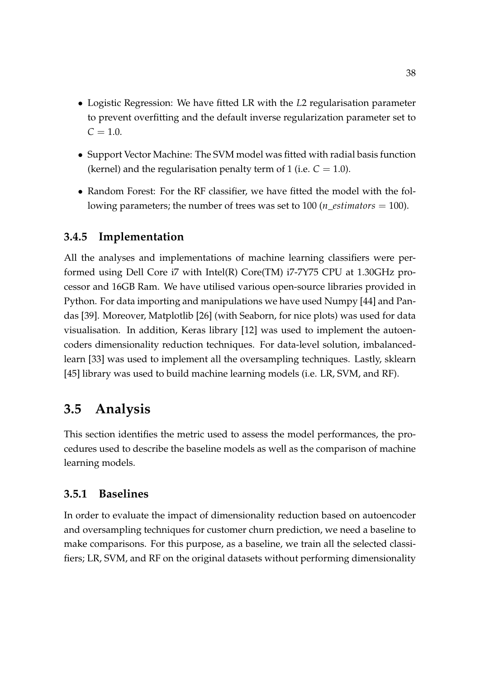- Logistic Regression: We have fitted LR with the *L*2 regularisation parameter to prevent overfitting and the default inverse regularization parameter set to  $C = 1.0$ .
- Support Vector Machine: The SVM model was fitted with radial basis function (kernel) and the regularisation penalty term of 1 (i.e.  $C = 1.0$ ).
- Random Forest: For the RF classifier, we have fitted the model with the following parameters; the number of trees was set to 100 (*n*\_*estimators* = 100).

### <span id="page-47-0"></span>**3.4.5 Implementation**

All the analyses and implementations of machine learning classifiers were performed using Dell Core i7 with Intel(R) Core(TM) i7-7Y75 CPU at 1.30GHz processor and 16GB Ram. We have utilised various open-source libraries provided in Python. For data importing and manipulations we have used Numpy [\[44\]](#page-67-9) and Pandas [\[39\]](#page-66-9). Moreover, Matplotlib [\[26\]](#page-65-10) (with Seaborn, for nice plots) was used for data visualisation. In addition, Keras library [\[12\]](#page-64-10) was used to implement the autoencoders dimensionality reduction techniques. For data-level solution, imbalancedlearn [\[33\]](#page-66-10) was used to implement all the oversampling techniques. Lastly, sklearn [\[45\]](#page-67-10) library was used to build machine learning models (i.e. LR, SVM, and RF).

## <span id="page-47-1"></span>**3.5 Analysis**

This section identifies the metric used to assess the model performances, the procedures used to describe the baseline models as well as the comparison of machine learning models.

### <span id="page-47-2"></span>**3.5.1 Baselines**

In order to evaluate the impact of dimensionality reduction based on autoencoder and oversampling techniques for customer churn prediction, we need a baseline to make comparisons. For this purpose, as a baseline, we train all the selected classifiers; LR, SVM, and RF on the original datasets without performing dimensionality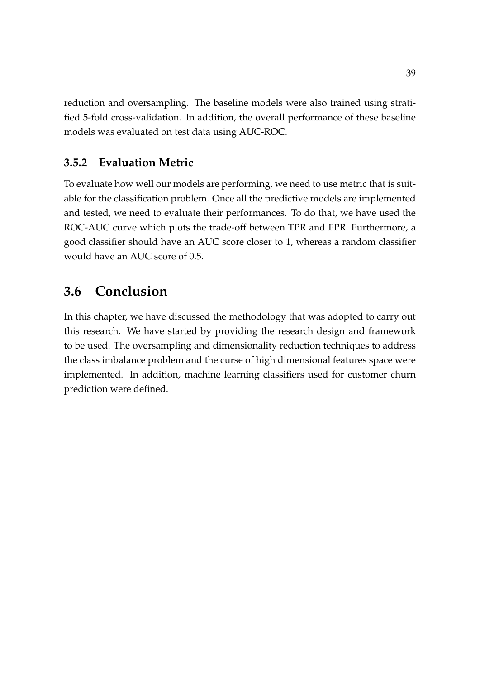reduction and oversampling. The baseline models were also trained using stratified 5-fold cross-validation. In addition, the overall performance of these baseline models was evaluated on test data using AUC-ROC.

## <span id="page-48-0"></span>**3.5.2 Evaluation Metric**

To evaluate how well our models are performing, we need to use metric that is suitable for the classification problem. Once all the predictive models are implemented and tested, we need to evaluate their performances. To do that, we have used the ROC-AUC curve which plots the trade-off between TPR and FPR. Furthermore, a good classifier should have an AUC score closer to 1, whereas a random classifier would have an AUC score of 0.5.

## <span id="page-48-1"></span>**3.6 Conclusion**

In this chapter, we have discussed the methodology that was adopted to carry out this research. We have started by providing the research design and framework to be used. The oversampling and dimensionality reduction techniques to address the class imbalance problem and the curse of high dimensional features space were implemented. In addition, machine learning classifiers used for customer churn prediction were defined.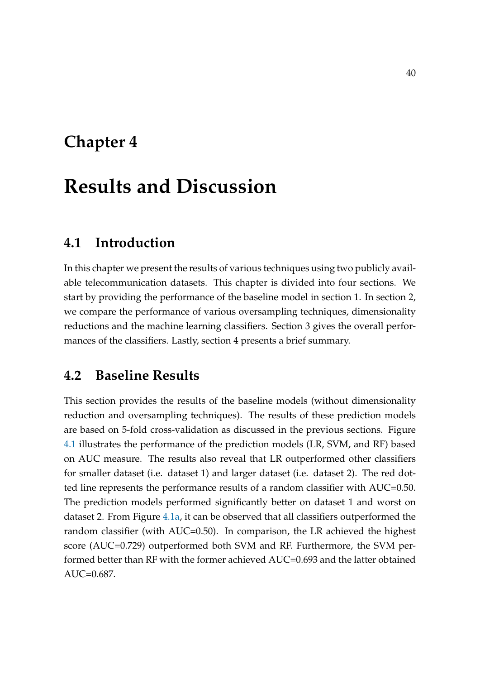# <span id="page-49-0"></span>**Chapter 4**

# **Results and Discussion**

## <span id="page-49-1"></span>**4.1 Introduction**

In this chapter we present the results of various techniques using two publicly available telecommunication datasets. This chapter is divided into four sections. We start by providing the performance of the baseline model in section 1. In section 2, we compare the performance of various oversampling techniques, dimensionality reductions and the machine learning classifiers. Section 3 gives the overall performances of the classifiers. Lastly, section 4 presents a brief summary.

## <span id="page-49-2"></span>**4.2 Baseline Results**

This section provides the results of the baseline models (without dimensionality reduction and oversampling techniques). The results of these prediction models are based on 5-fold cross-validation as discussed in the previous sections. Figure [4.1](#page-50-1) illustrates the performance of the prediction models (LR, SVM, and RF) based on AUC measure. The results also reveal that LR outperformed other classifiers for smaller dataset (i.e. dataset 1) and larger dataset (i.e. dataset 2). The red dotted line represents the performance results of a random classifier with AUC=0.50. The prediction models performed significantly better on dataset 1 and worst on dataset 2. From Figure [4.1a,](#page-50-1) it can be observed that all classifiers outperformed the random classifier (with AUC=0.50). In comparison, the LR achieved the highest score (AUC=0.729) outperformed both SVM and RF. Furthermore, the SVM performed better than RF with the former achieved AUC=0.693 and the latter obtained AUC=0.687.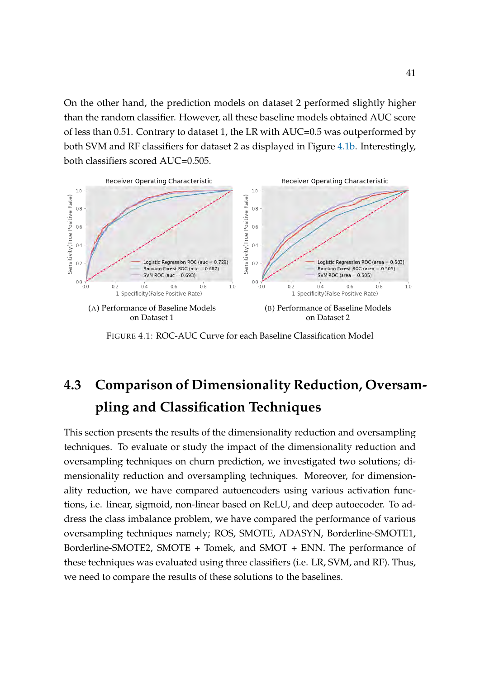On the other hand, the prediction models on dataset 2 performed slightly higher than the random classifier. However, all these baseline models obtained AUC score of less than 0.51. Contrary to dataset 1, the LR with AUC=0.5 was outperformed by both SVM and RF classifiers for dataset 2 as displayed in Figure [4.1b.](#page-50-1) Interestingly, both classifiers scored AUC=0.505.

<span id="page-50-1"></span>

FIGURE 4.1: ROC-AUC Curve for each Baseline Classification Model

# <span id="page-50-0"></span>**4.3 Comparison of Dimensionality Reduction, Oversampling and Classification Techniques**

This section presents the results of the dimensionality reduction and oversampling techniques. To evaluate or study the impact of the dimensionality reduction and oversampling techniques on churn prediction, we investigated two solutions; dimensionality reduction and oversampling techniques. Moreover, for dimensionality reduction, we have compared autoencoders using various activation functions, i.e. linear, sigmoid, non-linear based on ReLU, and deep autoecoder. To address the class imbalance problem, we have compared the performance of various oversampling techniques namely; ROS, SMOTE, ADASYN, Borderline-SMOTE1, Borderline-SMOTE2, SMOTE + Tomek, and SMOT + ENN. The performance of these techniques was evaluated using three classifiers (i.e. LR, SVM, and RF). Thus, we need to compare the results of these solutions to the baselines.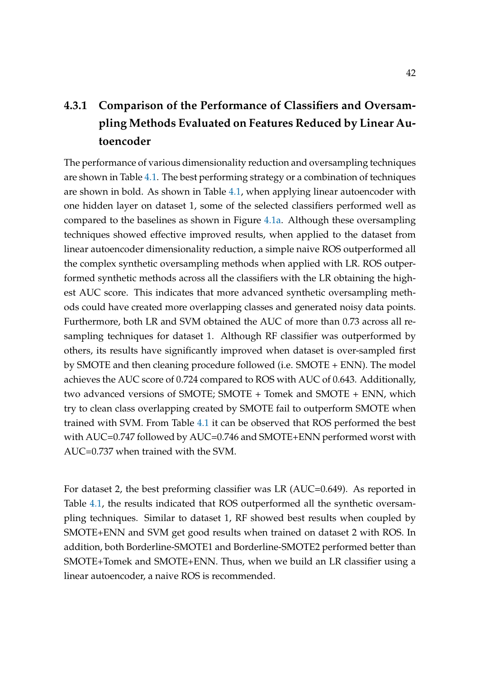# <span id="page-51-0"></span>**4.3.1 Comparison of the Performance of Classifiers and Oversampling Methods Evaluated on Features Reduced by Linear Autoencoder**

The performance of various dimensionality reduction and oversampling techniques are shown in Table [4.1.](#page-52-0) The best performing strategy or a combination of techniques are shown in bold. As shown in Table [4.1,](#page-52-0) when applying linear autoencoder with one hidden layer on dataset 1, some of the selected classifiers performed well as compared to the baselines as shown in Figure [4.1a.](#page-50-1) Although these oversampling techniques showed effective improved results, when applied to the dataset from linear autoencoder dimensionality reduction, a simple naive ROS outperformed all the complex synthetic oversampling methods when applied with LR. ROS outperformed synthetic methods across all the classifiers with the LR obtaining the highest AUC score. This indicates that more advanced synthetic oversampling methods could have created more overlapping classes and generated noisy data points. Furthermore, both LR and SVM obtained the AUC of more than 0.73 across all resampling techniques for dataset 1. Although RF classifier was outperformed by others, its results have significantly improved when dataset is over-sampled first by SMOTE and then cleaning procedure followed (i.e. SMOTE + ENN). The model achieves the AUC score of 0.724 compared to ROS with AUC of 0.643. Additionally, two advanced versions of SMOTE; SMOTE + Tomek and SMOTE + ENN, which try to clean class overlapping created by SMOTE fail to outperform SMOTE when trained with SVM. From Table [4.1](#page-52-0) it can be observed that ROS performed the best with AUC=0.747 followed by AUC=0.746 and SMOTE+ENN performed worst with AUC=0.737 when trained with the SVM.

For dataset 2, the best preforming classifier was LR (AUC=0.649). As reported in Table [4.1,](#page-52-0) the results indicated that ROS outperformed all the synthetic oversampling techniques. Similar to dataset 1, RF showed best results when coupled by SMOTE+ENN and SVM get good results when trained on dataset 2 with ROS. In addition, both Borderline-SMOTE1 and Borderline-SMOTE2 performed better than SMOTE+Tomek and SMOTE+ENN. Thus, when we build an LR classifier using a linear autoencoder, a naive ROS is recommended.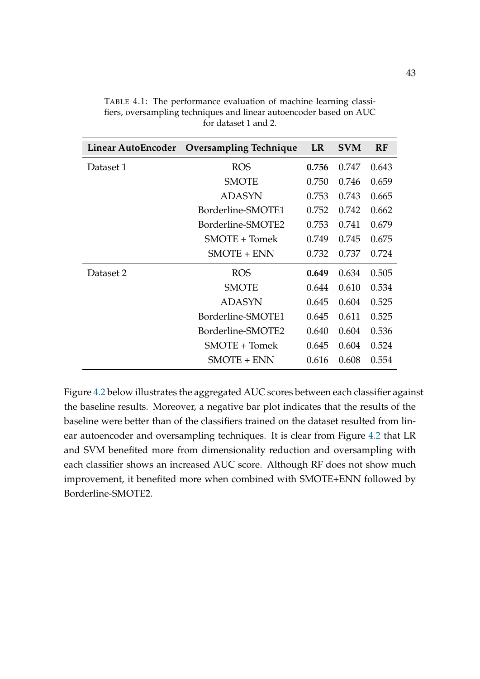| Linear AutoEncoder | <b>Oversampling Technique</b> | <b>LR</b> | <b>SVM</b> | <b>RF</b> |
|--------------------|-------------------------------|-----------|------------|-----------|
| Dataset 1          | <b>ROS</b>                    | 0.756     | 0.747      | 0.643     |
|                    | <b>SMOTE</b>                  | 0.750     | 0.746      | 0.659     |
|                    | <b>ADASYN</b>                 | 0.753     | 0.743      | 0.665     |
|                    | Borderline-SMOTE1             | 0.752     | 0.742      | 0.662     |
|                    | Borderline-SMOTE2             | 0.753     | 0.741      | 0.679     |
|                    | SMOTE + Tomek                 | 0.749     | 0.745      | 0.675     |
|                    | $SMOTE + ENN$                 | 0.732     | 0.737      | 0.724     |
| Dataset 2          | <b>ROS</b>                    | 0.649     | 0.634      | 0.505     |
|                    | <b>SMOTE</b>                  | 0.644     | 0.610      | 0.534     |
|                    | <b>ADASYN</b>                 | 0.645     | 0.604      | 0.525     |
|                    | Borderline-SMOTE1             | 0.645     | 0.611      | 0.525     |
|                    | Borderline-SMOTE2             | 0.640     | 0.604      | 0.536     |
|                    | SMOTE + Tomek                 | 0.645     | 0.604      | 0.524     |
|                    | $SMOTE + ENN$                 | 0.616     | 0.608      | 0.554     |

<span id="page-52-0"></span>TABLE 4.1: The performance evaluation of machine learning classifiers, oversampling techniques and linear autoencoder based on AUC for dataset 1 and 2.

Figure [4.2](#page-53-1) below illustrates the aggregated AUC scores between each classifier against the baseline results. Moreover, a negative bar plot indicates that the results of the baseline were better than of the classifiers trained on the dataset resulted from linear autoencoder and oversampling techniques. It is clear from Figure [4.2](#page-53-1) that LR and SVM benefited more from dimensionality reduction and oversampling with each classifier shows an increased AUC score. Although RF does not show much improvement, it benefited more when combined with SMOTE+ENN followed by Borderline-SMOTE2.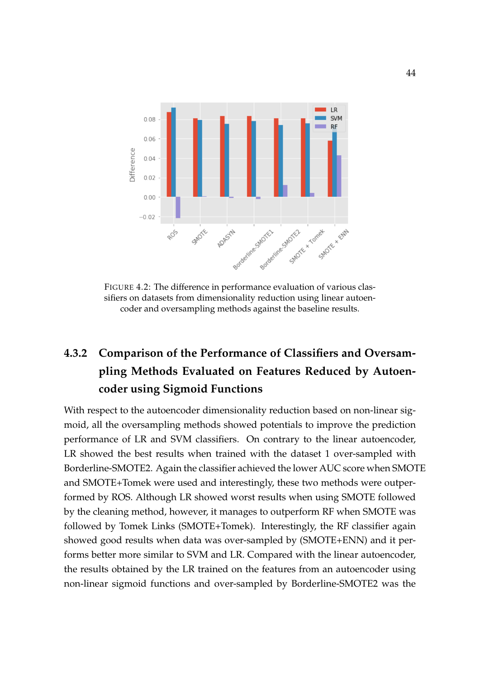<span id="page-53-1"></span>

FIGURE 4.2: The difference in performance evaluation of various classifiers on datasets from dimensionality reduction using linear autoencoder and oversampling methods against the baseline results.

# <span id="page-53-0"></span>**4.3.2 Comparison of the Performance of Classifiers and Oversampling Methods Evaluated on Features Reduced by Autoencoder using Sigmoid Functions**

With respect to the autoencoder dimensionality reduction based on non-linear sigmoid, all the oversampling methods showed potentials to improve the prediction performance of LR and SVM classifiers. On contrary to the linear autoencoder, LR showed the best results when trained with the dataset 1 over-sampled with Borderline-SMOTE2. Again the classifier achieved the lower AUC score when SMOTE and SMOTE+Tomek were used and interestingly, these two methods were outperformed by ROS. Although LR showed worst results when using SMOTE followed by the cleaning method, however, it manages to outperform RF when SMOTE was followed by Tomek Links (SMOTE+Tomek). Interestingly, the RF classifier again showed good results when data was over-sampled by (SMOTE+ENN) and it performs better more similar to SVM and LR. Compared with the linear autoencoder, the results obtained by the LR trained on the features from an autoencoder using non-linear sigmoid functions and over-sampled by Borderline-SMOTE2 was the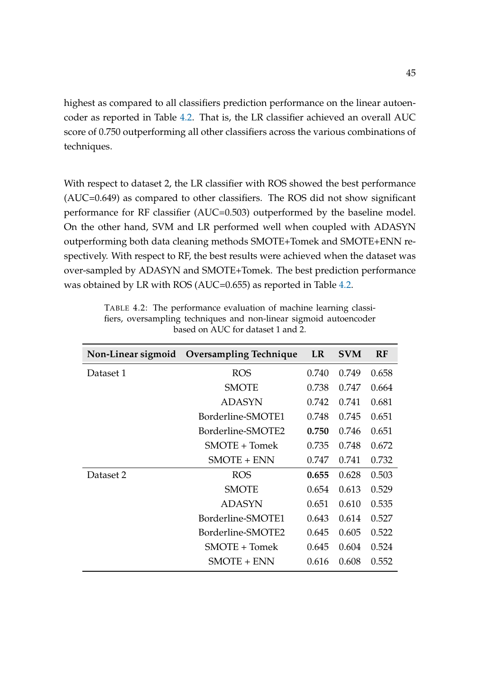highest as compared to all classifiers prediction performance on the linear autoencoder as reported in Table [4.2.](#page-54-0) That is, the LR classifier achieved an overall AUC score of 0.750 outperforming all other classifiers across the various combinations of techniques.

With respect to dataset 2, the LR classifier with ROS showed the best performance (AUC=0.649) as compared to other classifiers. The ROS did not show significant performance for RF classifier (AUC=0.503) outperformed by the baseline model. On the other hand, SVM and LR performed well when coupled with ADASYN outperforming both data cleaning methods SMOTE+Tomek and SMOTE+ENN respectively. With respect to RF, the best results were achieved when the dataset was over-sampled by ADASYN and SMOTE+Tomek. The best prediction performance was obtained by LR with ROS (AUC=0.655) as reported in Table [4.2.](#page-54-0)

| Non-Linear sigmoid | <b>Oversampling Technique</b> | <b>LR</b> | <b>SVM</b> | <b>RF</b> |
|--------------------|-------------------------------|-----------|------------|-----------|
| Dataset 1          | <b>ROS</b>                    | 0.740     | 0.749      | 0.658     |
|                    | <b>SMOTE</b>                  | 0.738     | 0.747      | 0.664     |
|                    | <b>ADASYN</b>                 | 0.742     | 0.741      | 0.681     |
|                    | Borderline-SMOTE1             | 0.748     | 0.745      | 0.651     |
|                    | Borderline-SMOTE2             | 0.750     | 0.746      | 0.651     |
|                    | SMOTE + Tomek                 | 0.735     | 0.748      | 0.672     |
|                    | <b>SMOTE + ENN</b>            | 0.747     | 0.741      | 0.732     |
| Dataset 2          | <b>ROS</b>                    | 0.655     | 0.628      | 0.503     |
|                    | <b>SMOTE</b>                  | 0.654     | 0.613      | 0.529     |
|                    | <b>ADASYN</b>                 | 0.651     | 0.610      | 0.535     |
|                    | Borderline-SMOTE1             | 0.643     | 0.614      | 0.527     |
|                    | Borderline-SMOTE2             | 0.645     | 0.605      | 0.522     |
|                    | SMOTE + Tomek                 | 0.645     | 0.604      | 0.524     |
|                    | <b>SMOTE + ENN</b>            | 0.616     | 0.608      | 0.552     |

<span id="page-54-0"></span>TABLE 4.2: The performance evaluation of machine learning classifiers, oversampling techniques and non-linear sigmoid autoencoder based on AUC for dataset 1 and 2.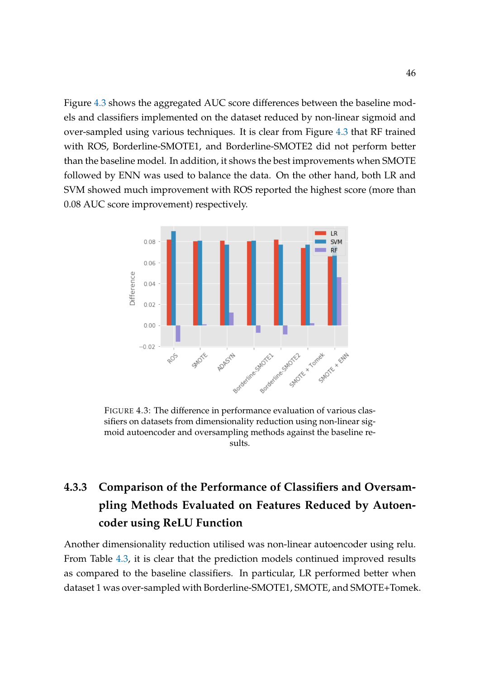Figure [4.3](#page-55-1) shows the aggregated AUC score differences between the baseline models and classifiers implemented on the dataset reduced by non-linear sigmoid and over-sampled using various techniques. It is clear from Figure [4.3](#page-55-1) that RF trained with ROS, Borderline-SMOTE1, and Borderline-SMOTE2 did not perform better than the baseline model. In addition, it shows the best improvements when SMOTE followed by ENN was used to balance the data. On the other hand, both LR and SVM showed much improvement with ROS reported the highest score (more than 0.08 AUC score improvement) respectively.

<span id="page-55-1"></span>

FIGURE 4.3: The difference in performance evaluation of various classifiers on datasets from dimensionality reduction using non-linear sigmoid autoencoder and oversampling methods against the baseline results.

# <span id="page-55-0"></span>**4.3.3 Comparison of the Performance of Classifiers and Oversampling Methods Evaluated on Features Reduced by Autoencoder using ReLU Function**

Another dimensionality reduction utilised was non-linear autoencoder using relu. From Table [4.3,](#page-56-0) it is clear that the prediction models continued improved results as compared to the baseline classifiers. In particular, LR performed better when dataset 1 was over-sampled with Borderline-SMOTE1, SMOTE, and SMOTE+Tomek.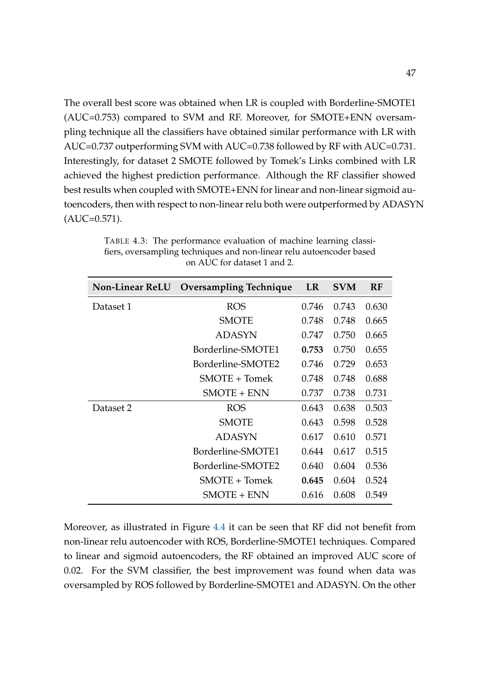The overall best score was obtained when LR is coupled with Borderline-SMOTE1 (AUC=0.753) compared to SVM and RF. Moreover, for SMOTE+ENN oversampling technique all the classifiers have obtained similar performance with LR with AUC=0.737 outperforming SVM with AUC=0.738 followed by RF with AUC=0.731. Interestingly, for dataset 2 SMOTE followed by Tomek's Links combined with LR achieved the highest prediction performance. Although the RF classifier showed best results when coupled with SMOTE+ENN for linear and non-linear sigmoid autoencoders, then with respect to non-linear relu both were outperformed by ADASYN  $(AUC=0.571)$ .

| <b>Non-Linear ReLU</b> | <b>Oversampling Technique</b> | <b>LR</b> | <b>SVM</b> | RF    |
|------------------------|-------------------------------|-----------|------------|-------|
| Dataset 1              | <b>ROS</b>                    | 0.746     | 0.743      | 0.630 |
|                        | <b>SMOTE</b>                  | 0.748     | 0.748      | 0.665 |
|                        | <b>ADASYN</b>                 | 0.747     | 0.750      | 0.665 |
|                        | Borderline-SMOTE1             | 0.753     | 0.750      | 0.655 |
|                        | Borderline-SMOTE2             | 0.746     | 0.729      | 0.653 |
|                        | $SMOTE + Tomek$               | 0.748     | 0.748      | 0.688 |
|                        | <b>SMOTE + ENN</b>            | 0.737     | 0.738      | 0.731 |
| Dataset 2              | <b>ROS</b>                    | 0.643     | 0.638      | 0.503 |
|                        | <b>SMOTE</b>                  | 0.643     | 0.598      | 0.528 |
|                        | <b>ADASYN</b>                 | 0.617     | 0.610      | 0.571 |
|                        | Borderline-SMOTE1             | 0.644     | 0.617      | 0.515 |
|                        | Borderline-SMOTE2             | 0.640     | 0.604      | 0.536 |
|                        | $SMOTE + Tomek$               | 0.645     | 0.604      | 0.524 |
|                        | SMOTE + ENN                   | 0.616     | 0.608      | 0.549 |

<span id="page-56-0"></span>TABLE 4.3: The performance evaluation of machine learning classifiers, oversampling techniques and non-linear relu autoencoder based on AUC for dataset 1 and 2.

Moreover, as illustrated in Figure [4.4](#page-57-1) it can be seen that RF did not benefit from non-linear relu autoencoder with ROS, Borderline-SMOTE1 techniques. Compared to linear and sigmoid autoencoders, the RF obtained an improved AUC score of 0.02. For the SVM classifier, the best improvement was found when data was oversampled by ROS followed by Borderline-SMOTE1 and ADASYN. On the other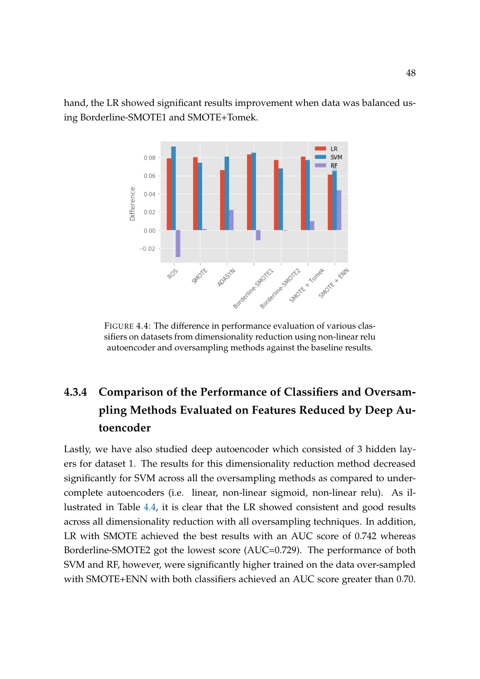<span id="page-57-1"></span>hand, the LR showed significant results improvement when data was balanced using Borderline-SMOTE1 and SMOTE+Tomek.



FIGURE 4.4: The difference in performance evaluation of various classifiers on datasets from dimensionality reduction using non-linear relu autoencoder and oversampling methods against the baseline results.

# <span id="page-57-0"></span>**4.3.4 Comparison of the Performance of Classifiers and Oversampling Methods Evaluated on Features Reduced by Deep Autoencoder**

Lastly, we have also studied deep autoencoder which consisted of 3 hidden layers for dataset 1. The results for this dimensionality reduction method decreased significantly for SVM across all the oversampling methods as compared to undercomplete autoencoders (i.e. linear, non-linear sigmoid, non-linear relu). As illustrated in Table [4.4,](#page-58-0) it is clear that the LR showed consistent and good results across all dimensionality reduction with all oversampling techniques. In addition, LR with SMOTE achieved the best results with an AUC score of 0.742 whereas Borderline-SMOTE2 got the lowest score (AUC=0.729). The performance of both SVM and RF, however, were significantly higher trained on the data over-sampled with SMOTE+ENN with both classifiers achieved an AUC score greater than 0.70.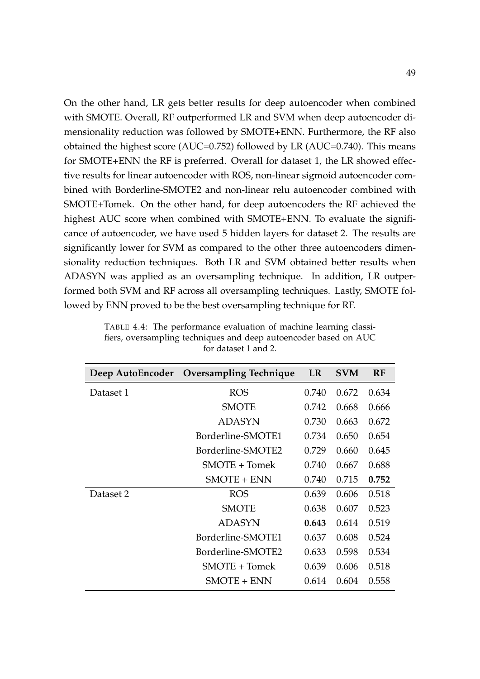On the other hand, LR gets better results for deep autoencoder when combined with SMOTE. Overall, RF outperformed LR and SVM when deep autoencoder dimensionality reduction was followed by SMOTE+ENN. Furthermore, the RF also obtained the highest score (AUC=0.752) followed by LR (AUC=0.740). This means for SMOTE+ENN the RF is preferred. Overall for dataset 1, the LR showed effective results for linear autoencoder with ROS, non-linear sigmoid autoencoder combined with Borderline-SMOTE2 and non-linear relu autoencoder combined with SMOTE+Tomek. On the other hand, for deep autoencoders the RF achieved the highest AUC score when combined with SMOTE+ENN. To evaluate the significance of autoencoder, we have used 5 hidden layers for dataset 2. The results are significantly lower for SVM as compared to the other three autoencoders dimensionality reduction techniques. Both LR and SVM obtained better results when ADASYN was applied as an oversampling technique. In addition, LR outperformed both SVM and RF across all oversampling techniques. Lastly, SMOTE followed by ENN proved to be the best oversampling technique for RF.

| Deep AutoEncoder | <b>Oversampling Technique</b> | <b>LR</b> | <b>SVM</b> | <b>RF</b> |
|------------------|-------------------------------|-----------|------------|-----------|
| Dataset 1        | <b>ROS</b>                    | 0.740     | 0.672      | 0.634     |
|                  | <b>SMOTE</b>                  | 0.742     | 0.668      | 0.666     |
|                  | <b>ADASYN</b>                 | 0.730     | 0.663      | 0.672     |
|                  | Borderline-SMOTE1             | 0.734     | 0.650      | 0.654     |
|                  | Borderline-SMOTE2             | 0.729     | 0.660      | 0.645     |
|                  | $SMOTE + Tomek$               | 0.740     | 0.667      | 0.688     |
|                  | $SMOTE + ENN$                 | 0.740     | 0.715      | 0.752     |
| Dataset 2        | <b>ROS</b>                    | 0.639     | 0.606      | 0.518     |
|                  | <b>SMOTE</b>                  | 0.638     | 0.607      | 0.523     |
|                  | ADASYN                        | 0.643     | 0.614      | 0.519     |
|                  | Borderline-SMOTE1             | 0.637     | 0.608      | 0.524     |
|                  | Borderline-SMOTE2             | 0.633     | 0.598      | 0.534     |
|                  | $SMOTE + Tomek$               | 0.639     | 0.606      | 0.518     |
|                  | <b>SMOTE + ENN</b>            | 0.614     | 0.604      | 0.558     |

<span id="page-58-0"></span>TABLE 4.4: The performance evaluation of machine learning classifiers, oversampling techniques and deep autoencoder based on AUC for dataset 1 and 2.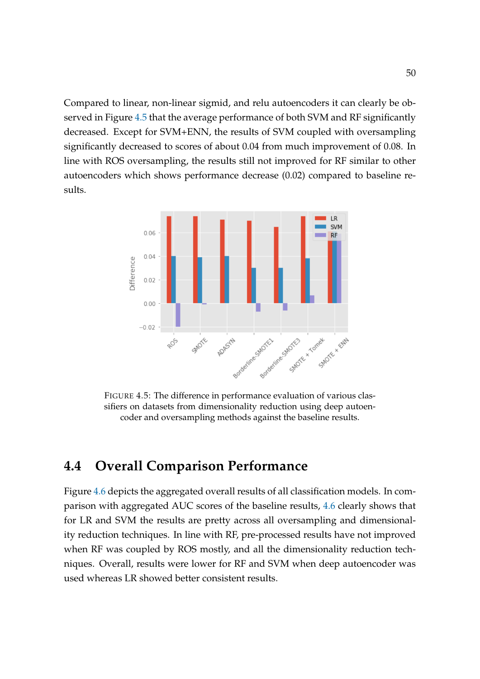Compared to linear, non-linear sigmid, and relu autoencoders it can clearly be observed in Figure [4.5](#page-59-1) that the average performance of both SVM and RF significantly decreased. Except for SVM+ENN, the results of SVM coupled with oversampling significantly decreased to scores of about 0.04 from much improvement of 0.08. In line with ROS oversampling, the results still not improved for RF similar to other autoencoders which shows performance decrease (0.02) compared to baseline results.

<span id="page-59-1"></span>

FIGURE 4.5: The difference in performance evaluation of various classifiers on datasets from dimensionality reduction using deep autoencoder and oversampling methods against the baseline results.

## <span id="page-59-0"></span>**4.4 Overall Comparison Performance**

Figure [4.6](#page-60-1) depicts the aggregated overall results of all classification models. In comparison with aggregated AUC scores of the baseline results, [4.6](#page-60-1) clearly shows that for LR and SVM the results are pretty across all oversampling and dimensionality reduction techniques. In line with RF, pre-processed results have not improved when RF was coupled by ROS mostly, and all the dimensionality reduction techniques. Overall, results were lower for RF and SVM when deep autoencoder was used whereas LR showed better consistent results.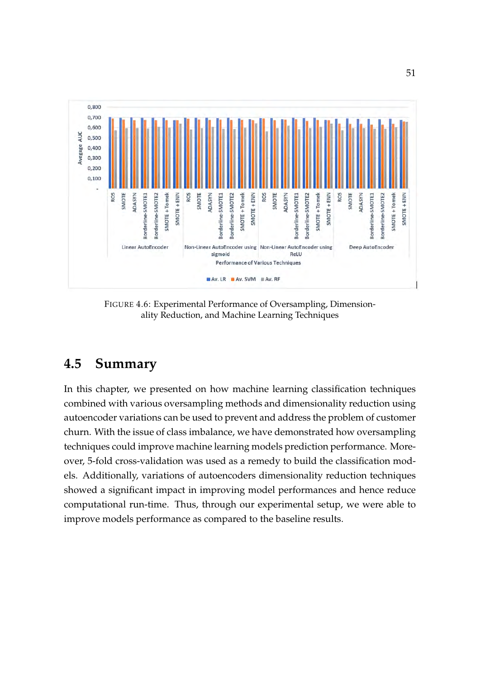<span id="page-60-1"></span>

FIGURE 4.6: Experimental Performance of Oversampling, Dimensionality Reduction, and Machine Learning Techniques

# <span id="page-60-0"></span>**4.5 Summary**

In this chapter, we presented on how machine learning classification techniques combined with various oversampling methods and dimensionality reduction using autoencoder variations can be used to prevent and address the problem of customer churn. With the issue of class imbalance, we have demonstrated how oversampling techniques could improve machine learning models prediction performance. Moreover, 5-fold cross-validation was used as a remedy to build the classification models. Additionally, variations of autoencoders dimensionality reduction techniques showed a significant impact in improving model performances and hence reduce computational run-time. Thus, through our experimental setup, we were able to improve models performance as compared to the baseline results.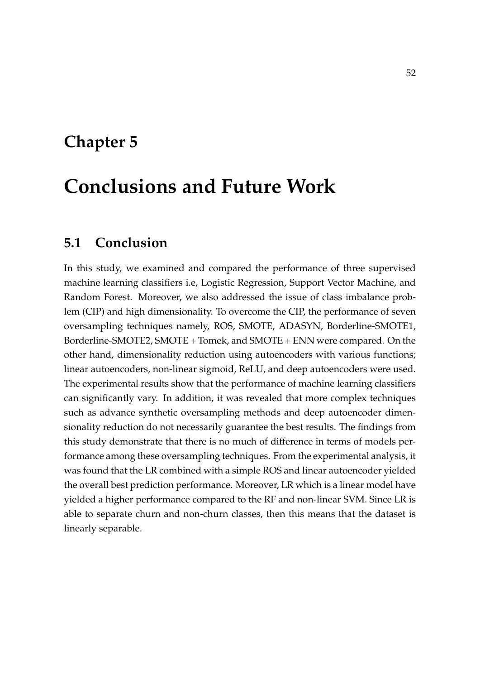# <span id="page-61-0"></span>**Chapter 5**

# **Conclusions and Future Work**

## <span id="page-61-1"></span>**5.1 Conclusion**

In this study, we examined and compared the performance of three supervised machine learning classifiers i.e, Logistic Regression, Support Vector Machine, and Random Forest. Moreover, we also addressed the issue of class imbalance problem (CIP) and high dimensionality. To overcome the CIP, the performance of seven oversampling techniques namely, ROS, SMOTE, ADASYN, Borderline-SMOTE1, Borderline-SMOTE2, SMOTE + Tomek, and SMOTE + ENN were compared. On the other hand, dimensionality reduction using autoencoders with various functions; linear autoencoders, non-linear sigmoid, ReLU, and deep autoencoders were used. The experimental results show that the performance of machine learning classifiers can significantly vary. In addition, it was revealed that more complex techniques such as advance synthetic oversampling methods and deep autoencoder dimensionality reduction do not necessarily guarantee the best results. The findings from this study demonstrate that there is no much of difference in terms of models performance among these oversampling techniques. From the experimental analysis, it was found that the LR combined with a simple ROS and linear autoencoder yielded the overall best prediction performance. Moreover, LR which is a linear model have yielded a higher performance compared to the RF and non-linear SVM. Since LR is able to separate churn and non-churn classes, then this means that the dataset is linearly separable.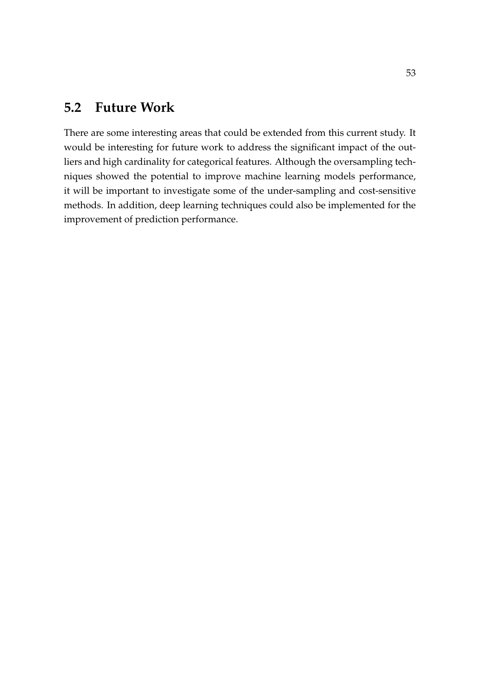## <span id="page-62-0"></span>**5.2 Future Work**

There are some interesting areas that could be extended from this current study. It would be interesting for future work to address the significant impact of the outliers and high cardinality for categorical features. Although the oversampling techniques showed the potential to improve machine learning models performance, it will be important to investigate some of the under-sampling and cost-sensitive methods. In addition, deep learning techniques could also be implemented for the improvement of prediction performance.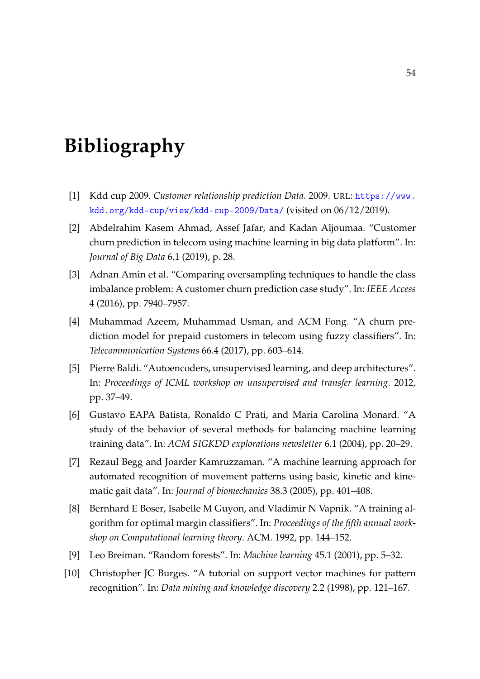# <span id="page-63-0"></span>**Bibliography**

- <span id="page-63-10"></span>[1] Kdd cup 2009. *Customer relationship prediction Data*. 2009. URL: [https://www.](https://www.kdd.org/kdd-cup/view/kdd-cup-2009/Data/) [kdd.org/kdd-cup/view/kdd-cup-2009/Data/](https://www.kdd.org/kdd-cup/view/kdd-cup-2009/Data/) (visited on 06/12/2019).
- <span id="page-63-8"></span>[2] Abdelrahim Kasem Ahmad, Assef Jafar, and Kadan Aljoumaa. "Customer churn prediction in telecom using machine learning in big data platform". In: *Journal of Big Data* 6.1 (2019), p. 28.
- <span id="page-63-9"></span>[3] Adnan Amin et al. "Comparing oversampling techniques to handle the class imbalance problem: A customer churn prediction case study". In: *IEEE Access* 4 (2016), pp. 7940–7957.
- <span id="page-63-2"></span>[4] Muhammad Azeem, Muhammad Usman, and ACM Fong. "A churn prediction model for prepaid customers in telecom using fuzzy classifiers". In: *Telecommunication Systems* 66.4 (2017), pp. 603–614.
- <span id="page-63-3"></span>[5] Pierre Baldi. "Autoencoders, unsupervised learning, and deep architectures". In: *Proceedings of ICML workshop on unsupervised and transfer learning*. 2012, pp. 37–49.
- <span id="page-63-1"></span>[6] Gustavo EAPA Batista, Ronaldo C Prati, and Maria Carolina Monard. "A study of the behavior of several methods for balancing machine learning training data". In: *ACM SIGKDD explorations newsletter* 6.1 (2004), pp. 20–29.
- <span id="page-63-6"></span>[7] Rezaul Begg and Joarder Kamruzzaman. "A machine learning approach for automated recognition of movement patterns using basic, kinetic and kinematic gait data". In: *Journal of biomechanics* 38.3 (2005), pp. 401–408.
- <span id="page-63-4"></span>[8] Bernhard E Boser, Isabelle M Guyon, and Vladimir N Vapnik. "A training algorithm for optimal margin classifiers". In: *Proceedings of the fifth annual workshop on Computational learning theory*. ACM. 1992, pp. 144–152.
- <span id="page-63-7"></span>[9] Leo Breiman. "Random forests". In: *Machine learning* 45.1 (2001), pp. 5–32.
- <span id="page-63-5"></span>[10] Christopher JC Burges. "A tutorial on support vector machines for pattern recognition". In: *Data mining and knowledge discovery* 2.2 (1998), pp. 121–167.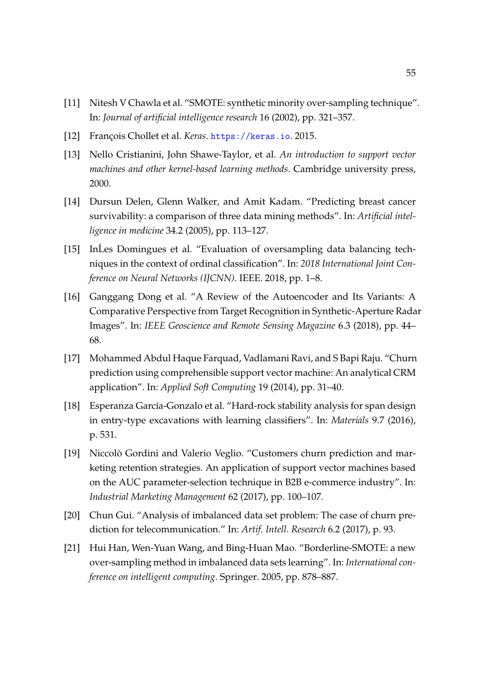- <span id="page-64-2"></span>[11] Nitesh V Chawla et al. "SMOTE: synthetic minority over-sampling technique". In: *Journal of artificial intelligence research* 16 (2002), pp. 321–357.
- <span id="page-64-10"></span>[12] François Chollet et al. *Keras*. <https://keras.io>. 2015.
- <span id="page-64-5"></span>[13] Nello Cristianini, John Shawe-Taylor, et al. *An introduction to support vector machines and other kernel-based learning methods*. Cambridge university press, 2000.
- <span id="page-64-4"></span>[14] Dursun Delen, Glenn Walker, and Amit Kadam. "Predicting breast cancer survivability: a comparison of three data mining methods". In: *Artificial intelligence in medicine* 34.2 (2005), pp. 113–127.
- <span id="page-64-9"></span>[15] In´Les Domingues et al. "Evaluation of oversampling data balancing techniques in the context of ordinal classification". In: *2018 International Joint Conference on Neural Networks (IJCNN)*. IEEE. 2018, pp. 1–8.
- <span id="page-64-3"></span>[16] Ganggang Dong et al. "A Review of the Autoencoder and Its Variants: A Comparative Perspective from Target Recognition in Synthetic-Aperture Radar Images". In: *IEEE Geoscience and Remote Sensing Magazine* 6.3 (2018), pp. 44– 68.
- <span id="page-64-7"></span>[17] Mohammed Abdul Haque Farquad, Vadlamani Ravi, and S Bapi Raju. "Churn prediction using comprehensible support vector machine: An analytical CRM application". In: *Applied Soft Computing* 19 (2014), pp. 31–40.
- <span id="page-64-0"></span>[18] Esperanza García-Gonzalo et al. "Hard-rock stability analysis for span design in entry-type excavations with learning classifiers". In: *Materials* 9.7 (2016), p. 531.
- <span id="page-64-1"></span>[19] Niccolò Gordini and Valerio Veglio. "Customers churn prediction and marketing retention strategies. An application of support vector machines based on the AUC parameter-selection technique in B2B e-commerce industry". In: *Industrial Marketing Management* 62 (2017), pp. 100–107.
- <span id="page-64-8"></span>[20] Chun Gui. "Analysis of imbalanced data set problem: The case of churn prediction for telecommunication." In: *Artif. Intell. Research* 6.2 (2017), p. 93.
- <span id="page-64-6"></span>[21] Hui Han, Wen-Yuan Wang, and Bing-Huan Mao. "Borderline-SMOTE: a new over-sampling method in imbalanced data sets learning". In: *International conference on intelligent computing*. Springer. 2005, pp. 878–887.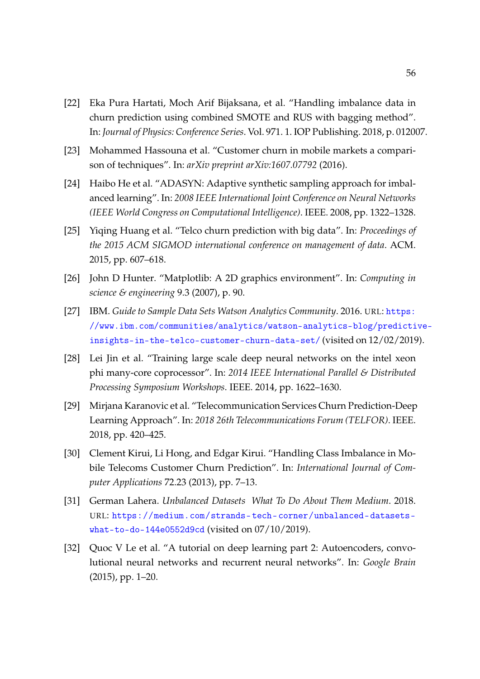- <span id="page-65-2"></span>[22] Eka Pura Hartati, Moch Arif Bijaksana, et al. "Handling imbalance data in churn prediction using combined SMOTE and RUS with bagging method". In: *Journal of Physics: Conference Series*. Vol. 971. 1. IOP Publishing. 2018, p. 012007.
- <span id="page-65-1"></span>[23] Mohammed Hassouna et al. "Customer churn in mobile markets a comparison of techniques". In: *arXiv preprint arXiv:1607.07792* (2016).
- <span id="page-65-4"></span>[24] Haibo He et al. "ADASYN: Adaptive synthetic sampling approach for imbalanced learning". In: *2008 IEEE International Joint Conference on Neural Networks (IEEE World Congress on Computational Intelligence)*. IEEE. 2008, pp. 1322–1328.
- <span id="page-65-3"></span>[25] Yiqing Huang et al. "Telco churn prediction with big data". In: *Proceedings of the 2015 ACM SIGMOD international conference on management of data*. ACM. 2015, pp. 607–618.
- <span id="page-65-10"></span>[26] John D Hunter. "Matplotlib: A 2D graphics environment". In: *Computing in science & engineering* 9.3 (2007), p. 90.
- <span id="page-65-9"></span>[27] IBM. *Guide to Sample Data Sets Watson Analytics Community*. 2016. URL: [https:](https://www.ibm.com/communities/analytics/watson-analytics-blog/predictive-insights-in-the-telco-customer-churn-data-set/) [//www.ibm.com/communities/analytics/watson-analytics-blog/predicti](https://www.ibm.com/communities/analytics/watson-analytics-blog/predictive-insights-in-the-telco-customer-churn-data-set/)ve[insights-in-the-telco-customer-churn-data-set/](https://www.ibm.com/communities/analytics/watson-analytics-blog/predictive-insights-in-the-telco-customer-churn-data-set/) (visited on 12/02/2019).
- <span id="page-65-6"></span>[28] Lei Jin et al. "Training large scale deep neural networks on the intel xeon phi many-core coprocessor". In: *2014 IEEE International Parallel & Distributed Processing Symposium Workshops*. IEEE. 2014, pp. 1622–1630.
- <span id="page-65-8"></span>[29] Mirjana Karanovic et al. "Telecommunication Services Churn Prediction-Deep Learning Approach". In: *2018 26th Telecommunications Forum (TELFOR)*. IEEE. 2018, pp. 420–425.
- <span id="page-65-7"></span>[30] Clement Kirui, Li Hong, and Edgar Kirui. "Handling Class Imbalance in Mobile Telecoms Customer Churn Prediction". In: *International Journal of Computer Applications* 72.23 (2013), pp. 7–13.
- <span id="page-65-0"></span>[31] German Lahera. *Unbalanced Datasets What To Do About Them Medium*. 2018. URL: [https://medium.com/strands-tech-corner/unbalanced-datasets](https://medium.com/strands-tech-corner/unbalanced-datasets-what-to-do-144e0552d9cd)[what-to-do-144e0552d9cd](https://medium.com/strands-tech-corner/unbalanced-datasets-what-to-do-144e0552d9cd) (visited on 07/10/2019).
- <span id="page-65-5"></span>[32] Quoc V Le et al. "A tutorial on deep learning part 2: Autoencoders, convolutional neural networks and recurrent neural networks". In: *Google Brain* (2015), pp. 1–20.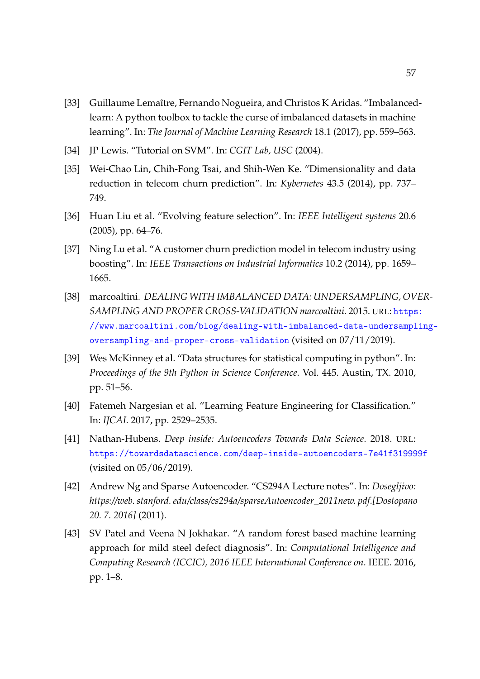- <span id="page-66-10"></span>[33] Guillaume Lemaître, Fernando Nogueira, and Christos K Aridas. "Imbalancedlearn: A python toolbox to tackle the curse of imbalanced datasets in machine learning". In: *The Journal of Machine Learning Research* 18.1 (2017), pp. 559–563.
- <span id="page-66-5"></span>[34] JP Lewis. "Tutorial on SVM". In: *CGIT Lab, USC* (2004).
- <span id="page-66-7"></span>[35] Wei-Chao Lin, Chih-Fong Tsai, and Shih-Wen Ke. "Dimensionality and data reduction in telecom churn prediction". In: *Kybernetes* 43.5 (2014), pp. 737– 749.
- <span id="page-66-8"></span>[36] Huan Liu et al. "Evolving feature selection". In: *IEEE Intelligent systems* 20.6 (2005), pp. 64–76.
- <span id="page-66-2"></span>[37] Ning Lu et al. "A customer churn prediction model in telecom industry using boosting". In: *IEEE Transactions on Industrial Informatics* 10.2 (2014), pp. 1659– 1665.
- <span id="page-66-1"></span>[38] marcoaltini. *DEALING WITH IMBALANCED DATA: UNDERSAMPLING, OVER-SAMPLING AND PROPER CROSS-VALIDATION marcoaltini*. 2015. URL: [https](https://www.marcoaltini.com/blog/dealing-with-imbalanced-data-undersampling-oversampling-and-proper-cross-validation): [//www.marcoaltini.com/blog/dealing-with-imbalanced-data-undersampl](https://www.marcoaltini.com/blog/dealing-with-imbalanced-data-undersampling-oversampling-and-proper-cross-validation)ing[oversampling-and-proper-cross-validation](https://www.marcoaltini.com/blog/dealing-with-imbalanced-data-undersampling-oversampling-and-proper-cross-validation) (visited on 07/11/2019).
- <span id="page-66-9"></span>[39] Wes McKinney et al. "Data structures for statistical computing in python". In: *Proceedings of the 9th Python in Science Conference*. Vol. 445. Austin, TX. 2010, pp. 51–56.
- <span id="page-66-3"></span>[40] Fatemeh Nargesian et al. "Learning Feature Engineering for Classification." In: *IJCAI*. 2017, pp. 2529–2535.
- <span id="page-66-0"></span>[41] Nathan-Hubens. *Deep inside: Autoencoders Towards Data Science*. 2018. URL: <https://towardsdatascience.com/deep-inside-autoencoders-7e41f319999f> (visited on 05/06/2019).
- <span id="page-66-4"></span>[42] Andrew Ng and Sparse Autoencoder. "CS294A Lecture notes". In: *Dosegljivo: https://web. stanford. edu/class/cs294a/sparseAutoencoder\_2011new. pdf.[Dostopano 20. 7. 2016]* (2011).
- <span id="page-66-6"></span>[43] SV Patel and Veena N Jokhakar. "A random forest based machine learning approach for mild steel defect diagnosis". In: *Computational Intelligence and Computing Research (ICCIC), 2016 IEEE International Conference on*. IEEE. 2016, pp. 1–8.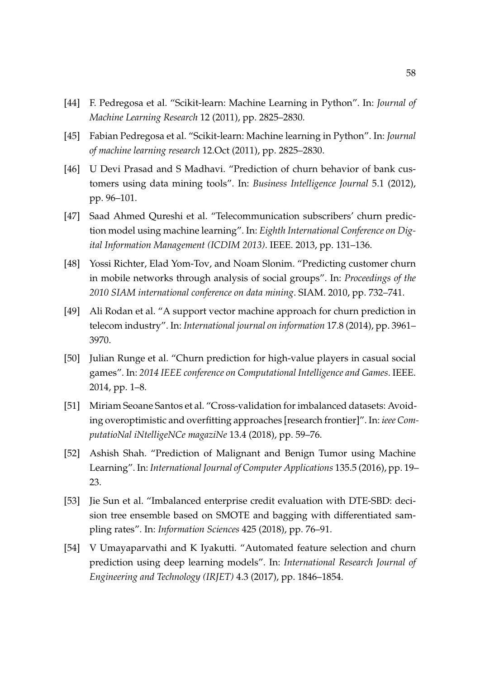- <span id="page-67-9"></span>[44] F. Pedregosa et al. "Scikit-learn: Machine Learning in Python". In: *Journal of Machine Learning Research* 12 (2011), pp. 2825–2830.
- <span id="page-67-10"></span>[45] Fabian Pedregosa et al. "Scikit-learn: Machine learning in Python". In: *Journal of machine learning research* 12.Oct (2011), pp. 2825–2830.
- <span id="page-67-4"></span>[46] U Devi Prasad and S Madhavi. "Prediction of churn behavior of bank customers using data mining tools". In: *Business Intelligence Journal* 5.1 (2012), pp. 96–101.
- <span id="page-67-2"></span>[47] Saad Ahmed Qureshi et al. "Telecommunication subscribers' churn prediction model using machine learning". In: *Eighth International Conference on Digital Information Management (ICDIM 2013)*. IEEE. 2013, pp. 131–136.
- <span id="page-67-5"></span>[48] Yossi Richter, Elad Yom-Tov, and Noam Slonim. "Predicting customer churn in mobile networks through analysis of social groups". In: *Proceedings of the 2010 SIAM international conference on data mining*. SIAM. 2010, pp. 732–741.
- <span id="page-67-6"></span>[49] Ali Rodan et al. "A support vector machine approach for churn prediction in telecom industry". In: *International journal on information* 17.8 (2014), pp. 3961– 3970.
- <span id="page-67-3"></span>[50] Julian Runge et al. "Churn prediction for high-value players in casual social games". In: *2014 IEEE conference on Computational Intelligence and Games*. IEEE. 2014, pp. 1–8.
- <span id="page-67-8"></span>[51] Miriam Seoane Santos et al. "Cross-validation for imbalanced datasets: Avoiding overoptimistic and overfitting approaches [research frontier]". In: *ieee ComputatioNal iNtelligeNCe magaziNe* 13.4 (2018), pp. 59–76.
- <span id="page-67-7"></span>[52] Ashish Shah. "Prediction of Malignant and Benign Tumor using Machine Learning". In: *International Journal of Computer Applications* 135.5 (2016), pp. 19– 23.
- <span id="page-67-1"></span>[53] Jie Sun et al. "Imbalanced enterprise credit evaluation with DTE-SBD: decision tree ensemble based on SMOTE and bagging with differentiated sampling rates". In: *Information Sciences* 425 (2018), pp. 76–91.
- <span id="page-67-0"></span>[54] V Umayaparvathi and K Iyakutti. "Automated feature selection and churn prediction using deep learning models". In: *International Research Journal of Engineering and Technology (IRJET)* 4.3 (2017), pp. 1846–1854.